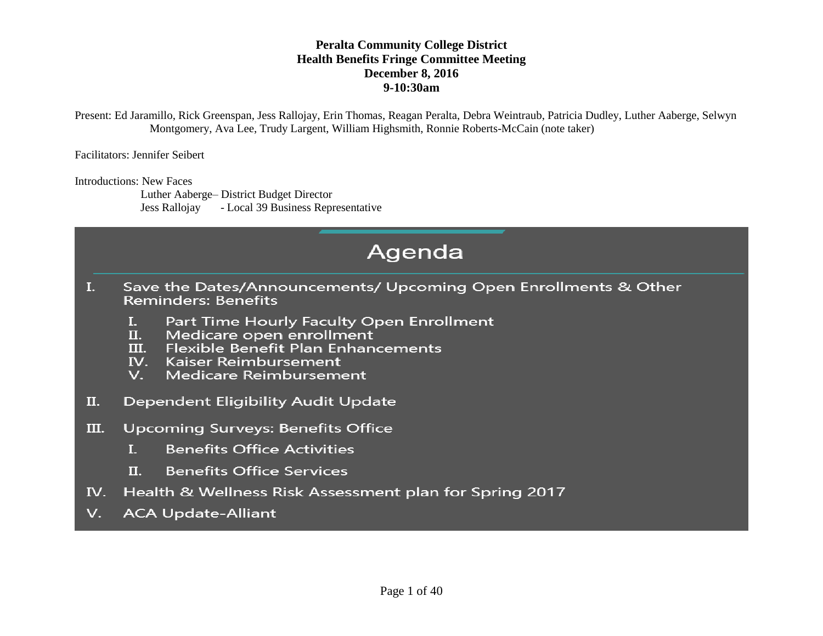Present: Ed Jaramillo, Rick Greenspan, Jess Rallojay, Erin Thomas, Reagan Peralta, Debra Weintraub, Patricia Dudley, Luther Aaberge, Selwyn Montgomery, Ava Lee, Trudy Largent, William Highsmith, Ronnie Roberts-McCain (note taker)

Facilitators: Jennifer Seibert

Introductions: New Faces

 Luther Aaberge– District Budget Director Jess Rallojay - Local 39 Business Representative

## Agenda

- Save the Dates/Announcements/ Upcoming Open Enrollments & Other  $\mathbf{I}$ . **Reminders: Benefits** 
	- Part Time Hourly Faculty Open Enrollment  $\mathbf{L}$
	- Π. Medicare open enrollment
	- Flexible Benefit Plan Enhancements III.
	- IV. Kaiser Reimbursement
	- **Medicare Reimbursement** V.
- II. **Dependent Eligibility Audit Update**
- III. **Upcoming Surveys: Benefits Office** 
	- **Benefits Office Activities**  $\mathbf{I}$ .
	- Π. **Benefits Office Services**
- IV. Health & Wellness Risk Assessment plan for Spring 2017
- **ACA Update-Alliant** V.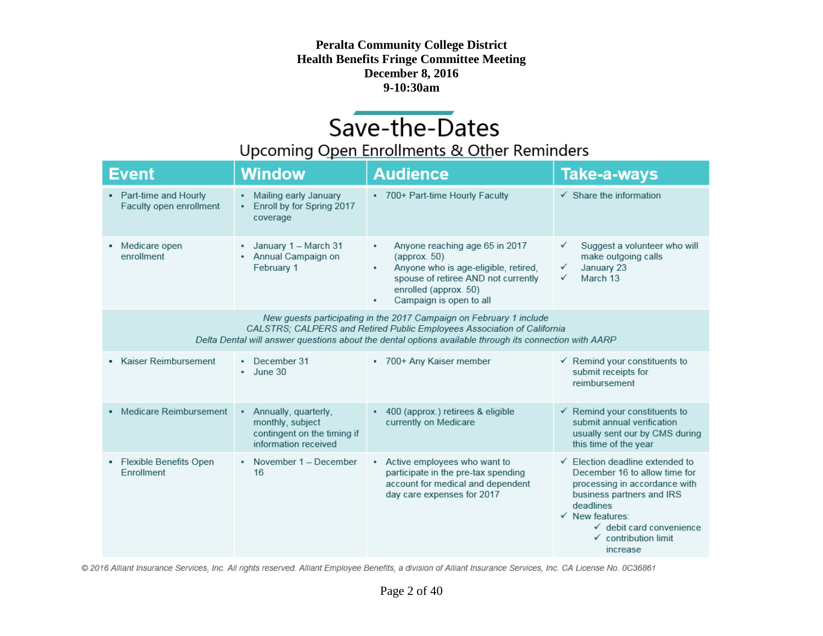# Save-the-Dates

### Upcoming Open Enrollments & Other Reminders

| Event                                             | <b>Window</b>                                                                                        | <b>Audience</b>                                                                                                                                                                                                                                          | <b>Take-a-ways</b>                                                                                                                                                                                                                                                         |
|---------------------------------------------------|------------------------------------------------------------------------------------------------------|----------------------------------------------------------------------------------------------------------------------------------------------------------------------------------------------------------------------------------------------------------|----------------------------------------------------------------------------------------------------------------------------------------------------------------------------------------------------------------------------------------------------------------------------|
| • Part-time and Hourly<br>Faculty open enrollment | Mailing early January<br>٠<br>Enroll by for Spring 2017<br>٠<br>coverage                             | * 700+ Part-time Hourly Faculty                                                                                                                                                                                                                          | $\checkmark$ Share the information                                                                                                                                                                                                                                         |
| Medicare open<br>enrollment                       | January 1 - March 31<br>٠<br>• Annual Campaign on<br>February 1                                      | Anyone reaching age 65 in 2017<br>٠<br>${\rm (approx.50)}$<br>Anyone who is age-eligible, retired,<br>٠<br>spouse of retiree AND not currently<br>enrolled (approx. 50)<br>Campaign is open to all<br>٠                                                  | Suggest a volunteer who will<br>make outgoing calls<br>January 23<br>✓<br>March 13<br>✓                                                                                                                                                                                    |
|                                                   |                                                                                                      | New guests participating in the 2017 Campaign on February 1 include<br>CALSTRS; CALPERS and Retired Public Employees Association of California<br>Delta Dental will answer questions about the dental options available through its connection with AARP |                                                                                                                                                                                                                                                                            |
| Kaiser Reimbursement                              | December 31<br>٠<br>June 30<br>٠                                                                     | • 700+ Any Kaiser member                                                                                                                                                                                                                                 | $\checkmark$ Remind your constituents to<br>submit receipts for<br>reimbursement                                                                                                                                                                                           |
| Medicare Reimbursement                            | Annually, quarterly,<br>٠<br>monthly, subject<br>contingent on the timing if<br>information received | • 400 (approx.) retirees & eligible<br>currently on Medicare                                                                                                                                                                                             | $\checkmark$ Remind your constituents to<br>submit annual verification<br>usually sent our by CMS during<br>this time of the year                                                                                                                                          |
| Flexible Benefits Open<br>٠<br>Enrollment         | • November $1 -$ December<br>16                                                                      | • Active employees who want to<br>participate in the pre-tax spending<br>account for medical and dependent<br>day care expenses for 2017                                                                                                                 | $\checkmark$ Election deadline extended to<br>December 16 to allow time for<br>processing in accordance with<br>business partners and IRS<br>deadlines<br>$\checkmark$ New features:<br>$\checkmark$ debit card convenience<br>$\checkmark$ contribution limit<br>increase |

© 2016 Alliant Insurance Services, Inc. All rights reserved. Alliant Employee Benefits, a division of Alliant Insurance Services, Inc. CA License No. 0C36861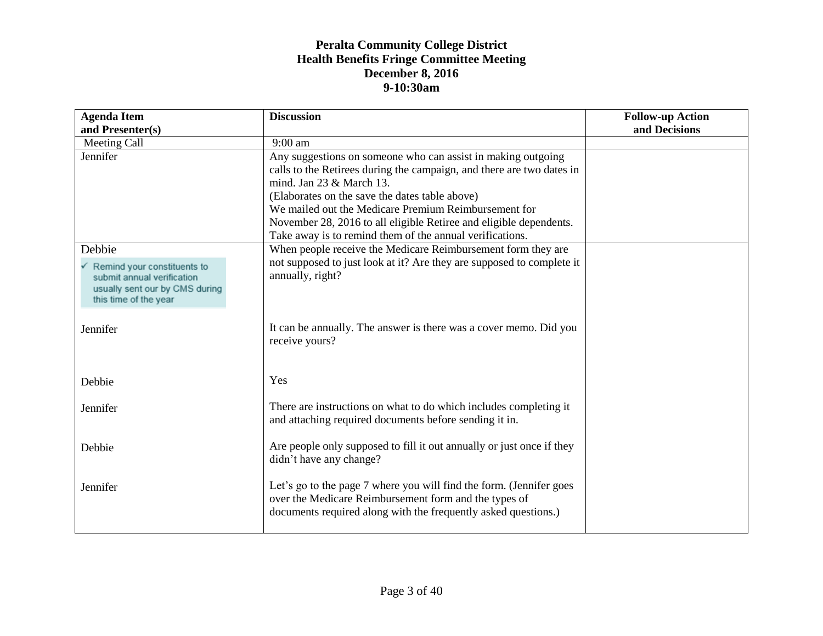| <b>Agenda Item</b>                                      | <b>Discussion</b>                                                     | <b>Follow-up Action</b> |
|---------------------------------------------------------|-----------------------------------------------------------------------|-------------------------|
| and Presenter(s)                                        |                                                                       | and Decisions           |
| Meeting Call                                            | $9:00$ am                                                             |                         |
| Jennifer                                                | Any suggestions on someone who can assist in making outgoing          |                         |
|                                                         | calls to the Retirees during the campaign, and there are two dates in |                         |
|                                                         | mind. Jan 23 & March 13.                                              |                         |
|                                                         | (Elaborates on the save the dates table above)                        |                         |
|                                                         | We mailed out the Medicare Premium Reimbursement for                  |                         |
|                                                         | November 28, 2016 to all eligible Retiree and eligible dependents.    |                         |
|                                                         | Take away is to remind them of the annual verifications.              |                         |
| Debbie                                                  | When people receive the Medicare Reimbursement form they are          |                         |
| $\checkmark$ Remind your constituents to                | not supposed to just look at it? Are they are supposed to complete it |                         |
| submit annual verification                              | annually, right?                                                      |                         |
| usually sent our by CMS during<br>this time of the year |                                                                       |                         |
|                                                         |                                                                       |                         |
| Jennifer                                                | It can be annually. The answer is there was a cover memo. Did you     |                         |
|                                                         | receive yours?                                                        |                         |
|                                                         |                                                                       |                         |
|                                                         |                                                                       |                         |
| Debbie                                                  | Yes                                                                   |                         |
|                                                         |                                                                       |                         |
| Jennifer                                                | There are instructions on what to do which includes completing it     |                         |
|                                                         | and attaching required documents before sending it in.                |                         |
|                                                         |                                                                       |                         |
| Debbie                                                  | Are people only supposed to fill it out annually or just once if they |                         |
|                                                         | didn't have any change?                                               |                         |
|                                                         |                                                                       |                         |
| Jennifer                                                | Let's go to the page 7 where you will find the form. (Jennifer goes   |                         |
|                                                         | over the Medicare Reimbursement form and the types of                 |                         |
|                                                         | documents required along with the frequently asked questions.)        |                         |
|                                                         |                                                                       |                         |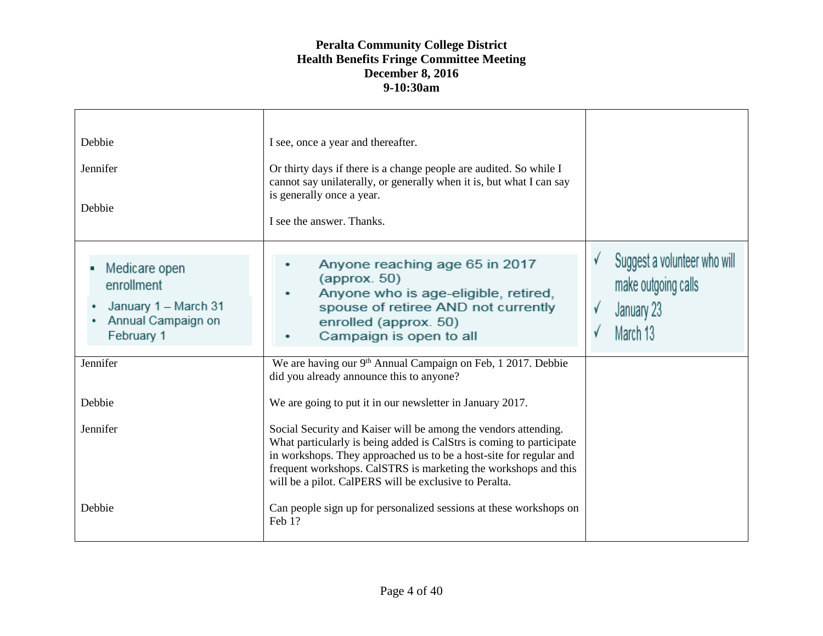| Debbie<br>Jennifer<br>Debbie                                                            | I see, once a year and thereafter.<br>Or thirty days if there is a change people are audited. So while I<br>cannot say unilaterally, or generally when it is, but what I can say<br>is generally once a year.<br>I see the answer. Thanks.                                                                                                                                                              |                                                                               |
|-----------------------------------------------------------------------------------------|---------------------------------------------------------------------------------------------------------------------------------------------------------------------------------------------------------------------------------------------------------------------------------------------------------------------------------------------------------------------------------------------------------|-------------------------------------------------------------------------------|
| Medicare open<br>enrollment<br>January 1 - March 31<br>Annual Campaign on<br>February 1 | Anyone reaching age 65 in 2017<br>$\langle$ approx. 50 $\rangle$<br>Anyone who is age-eligible, retired,<br>spouse of retiree AND not currently<br>enrolled (approx. 50)<br>Campaign is open to all                                                                                                                                                                                                     | Suggest a volunteer who will<br>make outgoing calls<br>January 23<br>March 13 |
| Jennifer<br>Debbie                                                                      | We are having our 9 <sup>th</sup> Annual Campaign on Feb, 1 2017. Debbie<br>did you already announce this to anyone?                                                                                                                                                                                                                                                                                    |                                                                               |
| Jennifer                                                                                | We are going to put it in our newsletter in January 2017.<br>Social Security and Kaiser will be among the vendors attending.<br>What particularly is being added is CalStrs is coming to participate<br>in workshops. They approached us to be a host-site for regular and<br>frequent workshops. CalSTRS is marketing the workshops and this<br>will be a pilot. CalPERS will be exclusive to Peralta. |                                                                               |
| Debbie                                                                                  | Can people sign up for personalized sessions at these workshops on<br>Feb 1?                                                                                                                                                                                                                                                                                                                            |                                                                               |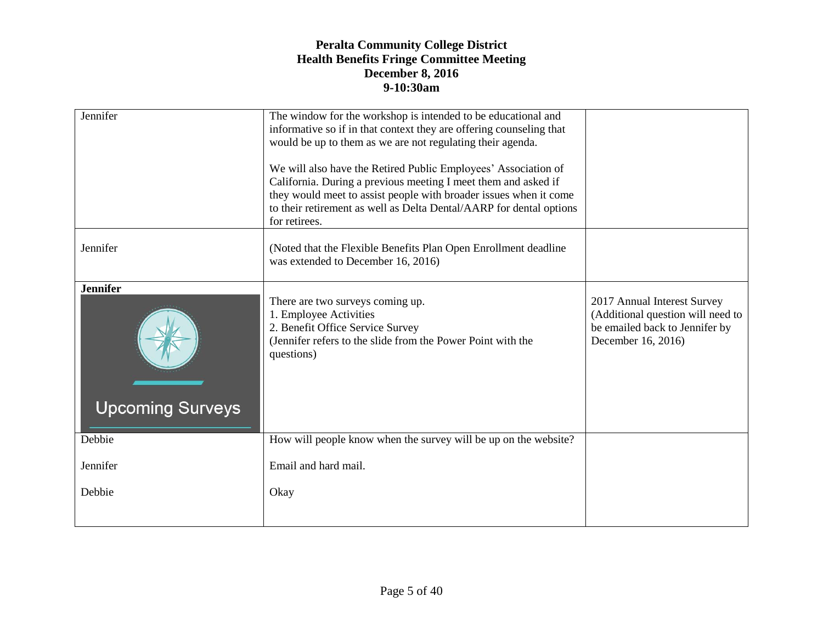| Jennifer                | The window for the workshop is intended to be educational and                                   |                                                      |
|-------------------------|-------------------------------------------------------------------------------------------------|------------------------------------------------------|
|                         | informative so if in that context they are offering counseling that                             |                                                      |
|                         | would be up to them as we are not regulating their agenda.                                      |                                                      |
|                         | We will also have the Retired Public Employees' Association of                                  |                                                      |
|                         | California. During a previous meeting I meet them and asked if                                  |                                                      |
|                         | they would meet to assist people with broader issues when it come                               |                                                      |
|                         | to their retirement as well as Delta Dental/AARP for dental options                             |                                                      |
|                         | for retirees.                                                                                   |                                                      |
|                         |                                                                                                 |                                                      |
| Jennifer                | (Noted that the Flexible Benefits Plan Open Enrollment deadline)                                |                                                      |
|                         | was extended to December 16, 2016)                                                              |                                                      |
|                         |                                                                                                 |                                                      |
| <b>Jennifer</b>         |                                                                                                 |                                                      |
|                         | There are two surveys coming up.                                                                | 2017 Annual Interest Survey                          |
|                         | 1. Employee Activities                                                                          | (Additional question will need to                    |
|                         | 2. Benefit Office Service Survey<br>(Jennifer refers to the slide from the Power Point with the | be emailed back to Jennifer by<br>December 16, 2016) |
|                         | questions)                                                                                      |                                                      |
|                         |                                                                                                 |                                                      |
|                         |                                                                                                 |                                                      |
|                         |                                                                                                 |                                                      |
| <b>Upcoming Surveys</b> |                                                                                                 |                                                      |
|                         |                                                                                                 |                                                      |
| Debbie                  | How will people know when the survey will be up on the website?                                 |                                                      |
|                         |                                                                                                 |                                                      |
| Jennifer                | Email and hard mail.                                                                            |                                                      |
|                         |                                                                                                 |                                                      |
| Debbie                  | Okay                                                                                            |                                                      |
|                         |                                                                                                 |                                                      |
|                         |                                                                                                 |                                                      |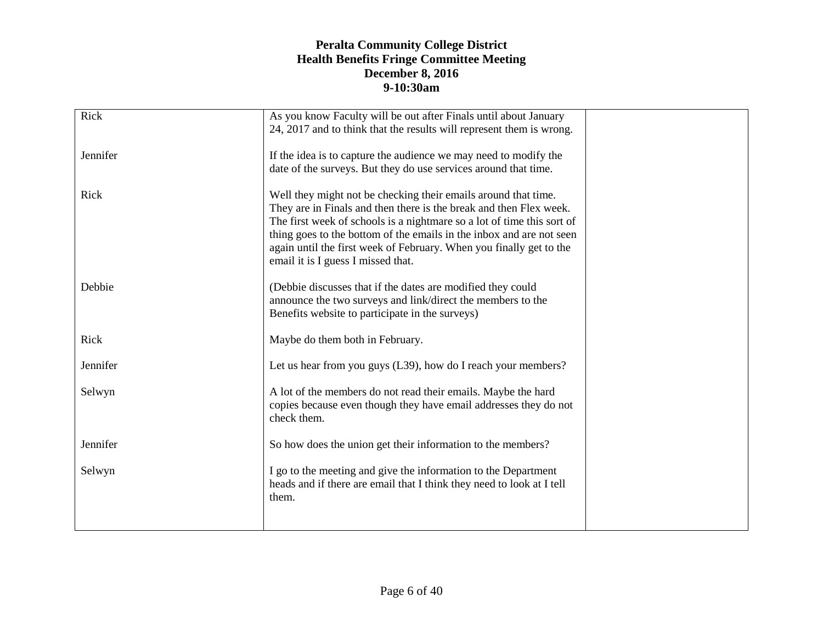| Rick     | As you know Faculty will be out after Finals until about January<br>24, 2017 and to think that the results will represent them is wrong.                                                                                                                                                                                                                                                            |  |
|----------|-----------------------------------------------------------------------------------------------------------------------------------------------------------------------------------------------------------------------------------------------------------------------------------------------------------------------------------------------------------------------------------------------------|--|
| Jennifer | If the idea is to capture the audience we may need to modify the                                                                                                                                                                                                                                                                                                                                    |  |
|          | date of the surveys. But they do use services around that time.                                                                                                                                                                                                                                                                                                                                     |  |
| Rick     | Well they might not be checking their emails around that time.<br>They are in Finals and then there is the break and then Flex week.<br>The first week of schools is a nightmare so a lot of time this sort of<br>thing goes to the bottom of the emails in the inbox and are not seen<br>again until the first week of February. When you finally get to the<br>email it is I guess I missed that. |  |
|          |                                                                                                                                                                                                                                                                                                                                                                                                     |  |
| Debbie   | (Debbie discusses that if the dates are modified they could<br>announce the two surveys and link/direct the members to the<br>Benefits website to participate in the surveys)                                                                                                                                                                                                                       |  |
| Rick     | Maybe do them both in February.                                                                                                                                                                                                                                                                                                                                                                     |  |
| Jennifer | Let us hear from you guys (L39), how do I reach your members?                                                                                                                                                                                                                                                                                                                                       |  |
| Selwyn   | A lot of the members do not read their emails. Maybe the hard<br>copies because even though they have email addresses they do not<br>check them.                                                                                                                                                                                                                                                    |  |
| Jennifer | So how does the union get their information to the members?                                                                                                                                                                                                                                                                                                                                         |  |
| Selwyn   | I go to the meeting and give the information to the Department<br>heads and if there are email that I think they need to look at I tell<br>them.                                                                                                                                                                                                                                                    |  |
|          |                                                                                                                                                                                                                                                                                                                                                                                                     |  |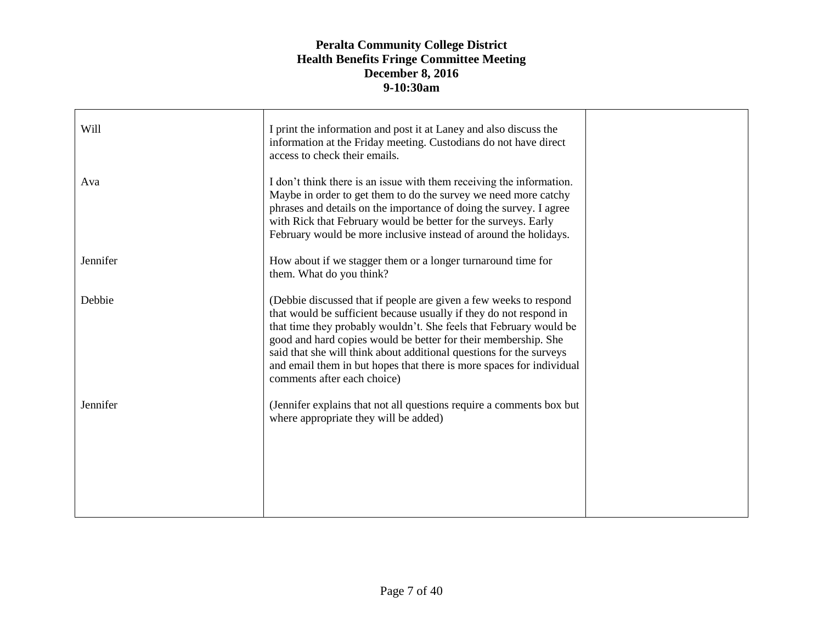| Will     | I print the information and post it at Laney and also discuss the<br>information at the Friday meeting. Custodians do not have direct<br>access to check their emails.                                                                                                                                                                                                                                                                                        |  |
|----------|---------------------------------------------------------------------------------------------------------------------------------------------------------------------------------------------------------------------------------------------------------------------------------------------------------------------------------------------------------------------------------------------------------------------------------------------------------------|--|
| Ava      | I don't think there is an issue with them receiving the information.<br>Maybe in order to get them to do the survey we need more catchy<br>phrases and details on the importance of doing the survey. I agree<br>with Rick that February would be better for the surveys. Early<br>February would be more inclusive instead of around the holidays.                                                                                                           |  |
| Jennifer | How about if we stagger them or a longer turnaround time for<br>them. What do you think?                                                                                                                                                                                                                                                                                                                                                                      |  |
| Debbie   | (Debbie discussed that if people are given a few weeks to respond<br>that would be sufficient because usually if they do not respond in<br>that time they probably wouldn't. She feels that February would be<br>good and hard copies would be better for their membership. She<br>said that she will think about additional questions for the surveys<br>and email them in but hopes that there is more spaces for individual<br>comments after each choice) |  |
| Jennifer | (Jennifer explains that not all questions require a comments box but<br>where appropriate they will be added)                                                                                                                                                                                                                                                                                                                                                 |  |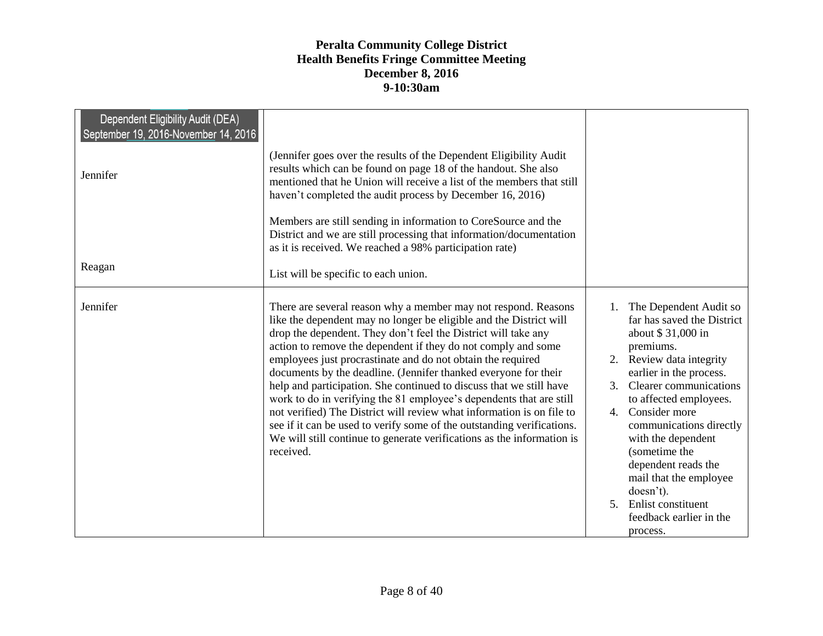| Dependent Eligibility Audit (DEA)<br>September 19, 2016-November 14, 2016 |                                                                                                                                                                                                                                                                                                                                                                                                                                                                                                                                                                                                                                                                                                                                                                                                   |                                                                                                                                                                                                                                                                                                                                                                                                                             |
|---------------------------------------------------------------------------|---------------------------------------------------------------------------------------------------------------------------------------------------------------------------------------------------------------------------------------------------------------------------------------------------------------------------------------------------------------------------------------------------------------------------------------------------------------------------------------------------------------------------------------------------------------------------------------------------------------------------------------------------------------------------------------------------------------------------------------------------------------------------------------------------|-----------------------------------------------------------------------------------------------------------------------------------------------------------------------------------------------------------------------------------------------------------------------------------------------------------------------------------------------------------------------------------------------------------------------------|
| Jennifer                                                                  | (Jennifer goes over the results of the Dependent Eligibility Audit<br>results which can be found on page 18 of the handout. She also<br>mentioned that he Union will receive a list of the members that still<br>haven't completed the audit process by December 16, 2016)                                                                                                                                                                                                                                                                                                                                                                                                                                                                                                                        |                                                                                                                                                                                                                                                                                                                                                                                                                             |
|                                                                           | Members are still sending in information to CoreSource and the<br>District and we are still processing that information/documentation<br>as it is received. We reached a 98% participation rate)                                                                                                                                                                                                                                                                                                                                                                                                                                                                                                                                                                                                  |                                                                                                                                                                                                                                                                                                                                                                                                                             |
| Reagan                                                                    | List will be specific to each union.                                                                                                                                                                                                                                                                                                                                                                                                                                                                                                                                                                                                                                                                                                                                                              |                                                                                                                                                                                                                                                                                                                                                                                                                             |
| Jennifer                                                                  | There are several reason why a member may not respond. Reasons<br>like the dependent may no longer be eligible and the District will<br>drop the dependent. They don't feel the District will take any<br>action to remove the dependent if they do not comply and some<br>employees just procrastinate and do not obtain the required<br>documents by the deadline. (Jennifer thanked everyone for their<br>help and participation. She continued to discuss that we still have<br>work to do in verifying the 81 employee's dependents that are still<br>not verified) The District will review what information is on file to<br>see if it can be used to verify some of the outstanding verifications.<br>We will still continue to generate verifications as the information is<br>received. | 1. The Dependent Audit so<br>far has saved the District<br>about \$31,000 in<br>premiums.<br>2. Review data integrity<br>earlier in the process.<br>3. Clearer communications<br>to affected employees.<br>4. Consider more<br>communications directly<br>with the dependent<br>(sometime the<br>dependent reads the<br>mail that the employee<br>doesn't).<br>5. Enlist constituent<br>feedback earlier in the<br>process. |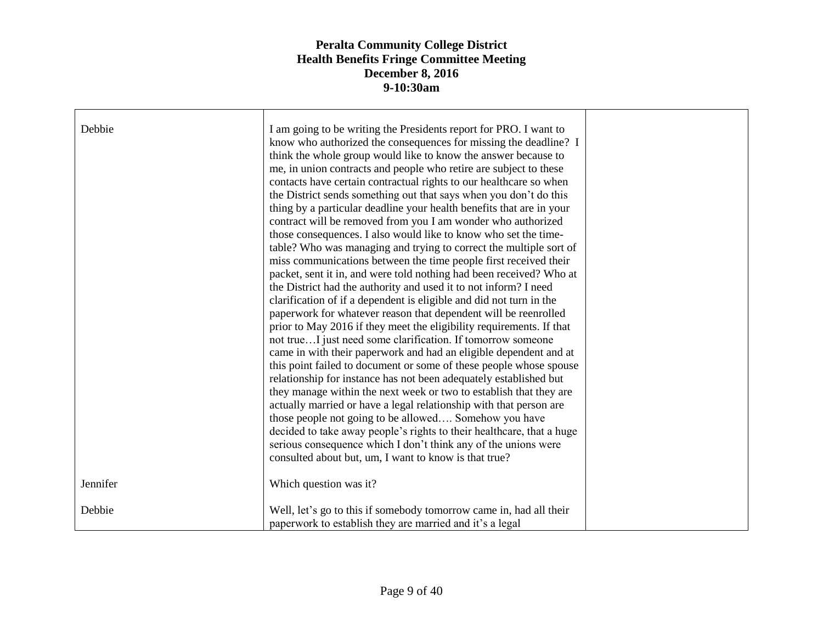| Debbie   | I am going to be writing the Presidents report for PRO. I want to<br>know who authorized the consequences for missing the deadline? I<br>think the whole group would like to know the answer because to<br>me, in union contracts and people who retire are subject to these<br>contacts have certain contractual rights to our healthcare so when<br>the District sends something out that says when you don't do this<br>thing by a particular deadline your health benefits that are in your<br>contract will be removed from you I am wonder who authorized<br>those consequences. I also would like to know who set the time-<br>table? Who was managing and trying to correct the multiple sort of<br>miss communications between the time people first received their<br>packet, sent it in, and were told nothing had been received? Who at<br>the District had the authority and used it to not inform? I need<br>clarification of if a dependent is eligible and did not turn in the<br>paperwork for whatever reason that dependent will be reenrolled<br>prior to May 2016 if they meet the eligibility requirements. If that<br>not trueI just need some clarification. If tomorrow someone<br>came in with their paperwork and had an eligible dependent and at<br>this point failed to document or some of these people whose spouse<br>relationship for instance has not been adequately established but<br>they manage within the next week or two to establish that they are<br>actually married or have a legal relationship with that person are<br>those people not going to be allowed Somehow you have<br>decided to take away people's rights to their healthcare, that a huge<br>serious consequence which I don't think any of the unions were<br>consulted about but, um, I want to know is that true? |  |
|----------|-----------------------------------------------------------------------------------------------------------------------------------------------------------------------------------------------------------------------------------------------------------------------------------------------------------------------------------------------------------------------------------------------------------------------------------------------------------------------------------------------------------------------------------------------------------------------------------------------------------------------------------------------------------------------------------------------------------------------------------------------------------------------------------------------------------------------------------------------------------------------------------------------------------------------------------------------------------------------------------------------------------------------------------------------------------------------------------------------------------------------------------------------------------------------------------------------------------------------------------------------------------------------------------------------------------------------------------------------------------------------------------------------------------------------------------------------------------------------------------------------------------------------------------------------------------------------------------------------------------------------------------------------------------------------------------------------------------------------------------------------------------------------------------------------------------------------------------|--|
| Jennifer | Which question was it?                                                                                                                                                                                                                                                                                                                                                                                                                                                                                                                                                                                                                                                                                                                                                                                                                                                                                                                                                                                                                                                                                                                                                                                                                                                                                                                                                                                                                                                                                                                                                                                                                                                                                                                                                                                                            |  |
| Debbie   | Well, let's go to this if somebody tomorrow came in, had all their<br>paperwork to establish they are married and it's a legal                                                                                                                                                                                                                                                                                                                                                                                                                                                                                                                                                                                                                                                                                                                                                                                                                                                                                                                                                                                                                                                                                                                                                                                                                                                                                                                                                                                                                                                                                                                                                                                                                                                                                                    |  |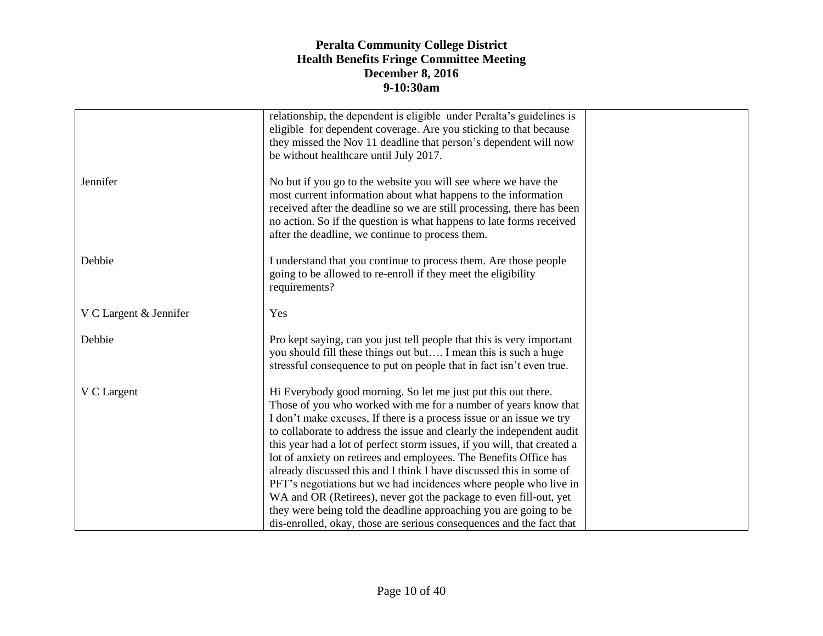|                        | relationship, the dependent is eligible under Peralta's guidelines is<br>eligible for dependent coverage. Are you sticking to that because<br>they missed the Nov 11 deadline that person's dependent will now                                                                                                                                                                                                                                                                                                                                                                                                                                                                                                                                                                                   |  |
|------------------------|--------------------------------------------------------------------------------------------------------------------------------------------------------------------------------------------------------------------------------------------------------------------------------------------------------------------------------------------------------------------------------------------------------------------------------------------------------------------------------------------------------------------------------------------------------------------------------------------------------------------------------------------------------------------------------------------------------------------------------------------------------------------------------------------------|--|
|                        | be without healthcare until July 2017.                                                                                                                                                                                                                                                                                                                                                                                                                                                                                                                                                                                                                                                                                                                                                           |  |
| Jennifer               | No but if you go to the website you will see where we have the<br>most current information about what happens to the information<br>received after the deadline so we are still processing, there has been<br>no action. So if the question is what happens to late forms received<br>after the deadline, we continue to process them.                                                                                                                                                                                                                                                                                                                                                                                                                                                           |  |
| Debbie                 | I understand that you continue to process them. Are those people<br>going to be allowed to re-enroll if they meet the eligibility<br>requirements?                                                                                                                                                                                                                                                                                                                                                                                                                                                                                                                                                                                                                                               |  |
| V C Largent & Jennifer | Yes                                                                                                                                                                                                                                                                                                                                                                                                                                                                                                                                                                                                                                                                                                                                                                                              |  |
| Debbie                 | Pro kept saying, can you just tell people that this is very important<br>you should fill these things out but I mean this is such a huge<br>stressful consequence to put on people that in fact isn't even true.                                                                                                                                                                                                                                                                                                                                                                                                                                                                                                                                                                                 |  |
| V C Largent            | Hi Everybody good morning. So let me just put this out there.<br>Those of you who worked with me for a number of years know that<br>I don't make excuses, If there is a process issue or an issue we try<br>to collaborate to address the issue and clearly the independent audit<br>this year had a lot of perfect storm issues, if you will, that created a<br>lot of anxiety on retirees and employees. The Benefits Office has<br>already discussed this and I think I have discussed this in some of<br>PFT's negotiations but we had incidences where people who live in<br>WA and OR (Retirees), never got the package to even fill-out, yet<br>they were being told the deadline approaching you are going to be<br>dis-enrolled, okay, those are serious consequences and the fact that |  |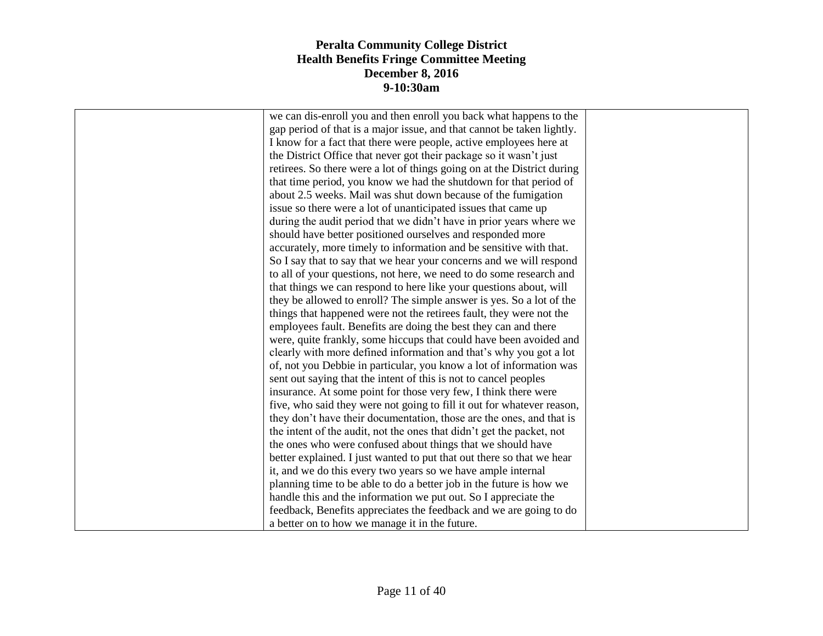| we can dis-enroll you and then enroll you back what happens to the      |  |
|-------------------------------------------------------------------------|--|
| gap period of that is a major issue, and that cannot be taken lightly.  |  |
| I know for a fact that there were people, active employees here at      |  |
| the District Office that never got their package so it wasn't just      |  |
| retirees. So there were a lot of things going on at the District during |  |
| that time period, you know we had the shutdown for that period of       |  |
| about 2.5 weeks. Mail was shut down because of the fumigation           |  |
| issue so there were a lot of unanticipated issues that came up          |  |
| during the audit period that we didn't have in prior years where we     |  |
| should have better positioned ourselves and responded more              |  |
| accurately, more timely to information and be sensitive with that.      |  |
| So I say that to say that we hear your concerns and we will respond     |  |
| to all of your questions, not here, we need to do some research and     |  |
| that things we can respond to here like your questions about, will      |  |
| they be allowed to enroll? The simple answer is yes. So a lot of the    |  |
| things that happened were not the retirees fault, they were not the     |  |
| employees fault. Benefits are doing the best they can and there         |  |
| were, quite frankly, some hiccups that could have been avoided and      |  |
| clearly with more defined information and that's why you got a lot      |  |
| of, not you Debbie in particular, you know a lot of information was     |  |
| sent out saying that the intent of this is not to cancel peoples        |  |
| insurance. At some point for those very few, I think there were         |  |
| five, who said they were not going to fill it out for whatever reason,  |  |
| they don't have their documentation, those are the ones, and that is    |  |
| the intent of the audit, not the ones that didn't get the packet, not   |  |
| the ones who were confused about things that we should have             |  |
| better explained. I just wanted to put that out there so that we hear   |  |
| it, and we do this every two years so we have ample internal            |  |
| planning time to be able to do a better job in the future is how we     |  |
| handle this and the information we put out. So I appreciate the         |  |
| feedback, Benefits appreciates the feedback and we are going to do      |  |
| a better on to how we manage it in the future.                          |  |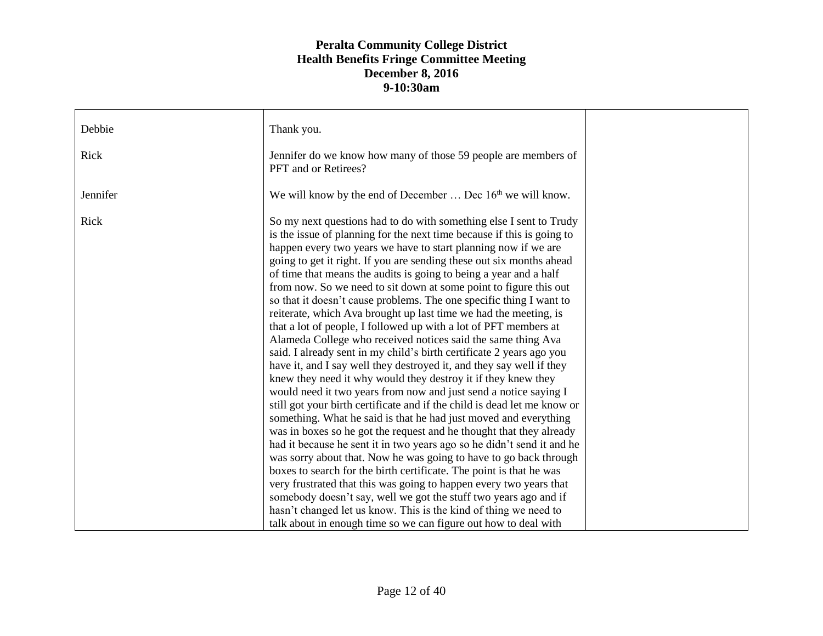| Debbie   | Thank you.                                                                                                                                                                                                                                                                                                                                                                                                                                                                                                                                                                                                                                                                                                                                                                                                                                                                                                                                                                                                                                                                                                                                                                                                                                                                                                                                                                                                                                                                                                                                                                                                                                                                                                                         |  |
|----------|------------------------------------------------------------------------------------------------------------------------------------------------------------------------------------------------------------------------------------------------------------------------------------------------------------------------------------------------------------------------------------------------------------------------------------------------------------------------------------------------------------------------------------------------------------------------------------------------------------------------------------------------------------------------------------------------------------------------------------------------------------------------------------------------------------------------------------------------------------------------------------------------------------------------------------------------------------------------------------------------------------------------------------------------------------------------------------------------------------------------------------------------------------------------------------------------------------------------------------------------------------------------------------------------------------------------------------------------------------------------------------------------------------------------------------------------------------------------------------------------------------------------------------------------------------------------------------------------------------------------------------------------------------------------------------------------------------------------------------|--|
| Rick     | Jennifer do we know how many of those 59 people are members of<br>PFT and or Retirees?                                                                                                                                                                                                                                                                                                                                                                                                                                                                                                                                                                                                                                                                                                                                                                                                                                                                                                                                                                                                                                                                                                                                                                                                                                                                                                                                                                                                                                                                                                                                                                                                                                             |  |
| Jennifer | We will know by the end of December $\dots$ Dec $16th$ we will know.                                                                                                                                                                                                                                                                                                                                                                                                                                                                                                                                                                                                                                                                                                                                                                                                                                                                                                                                                                                                                                                                                                                                                                                                                                                                                                                                                                                                                                                                                                                                                                                                                                                               |  |
| Rick     | So my next questions had to do with something else I sent to Trudy<br>is the issue of planning for the next time because if this is going to<br>happen every two years we have to start planning now if we are<br>going to get it right. If you are sending these out six months ahead<br>of time that means the audits is going to being a year and a half<br>from now. So we need to sit down at some point to figure this out<br>so that it doesn't cause problems. The one specific thing I want to<br>reiterate, which Ava brought up last time we had the meeting, is<br>that a lot of people, I followed up with a lot of PFT members at<br>Alameda College who received notices said the same thing Ava<br>said. I already sent in my child's birth certificate 2 years ago you<br>have it, and I say well they destroyed it, and they say well if they<br>knew they need it why would they destroy it if they knew they<br>would need it two years from now and just send a notice saying I<br>still got your birth certificate and if the child is dead let me know or<br>something. What he said is that he had just moved and everything<br>was in boxes so he got the request and he thought that they already<br>had it because he sent it in two years ago so he didn't send it and he<br>was sorry about that. Now he was going to have to go back through<br>boxes to search for the birth certificate. The point is that he was<br>very frustrated that this was going to happen every two years that<br>somebody doesn't say, well we got the stuff two years ago and if<br>hasn't changed let us know. This is the kind of thing we need to<br>talk about in enough time so we can figure out how to deal with |  |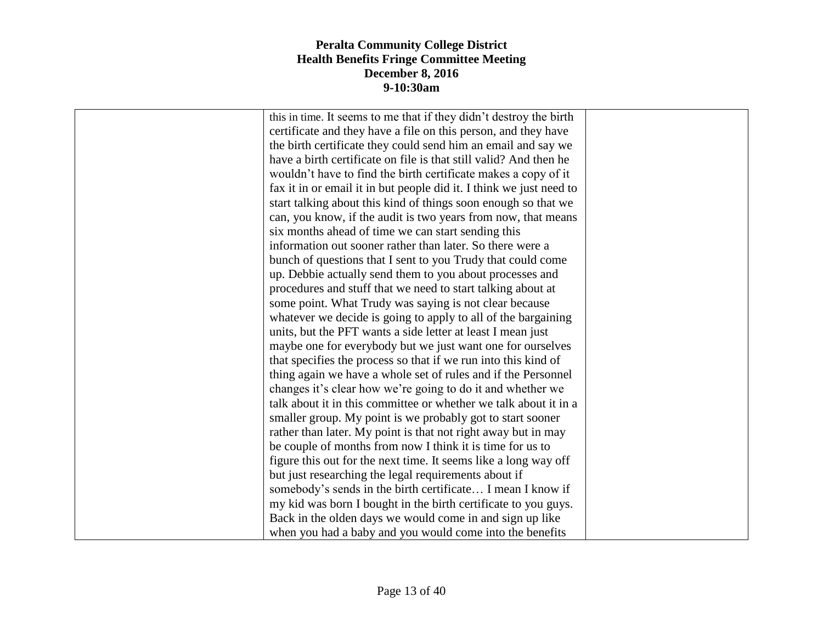| this in time. It seems to me that if they didn't destroy the birth  |  |
|---------------------------------------------------------------------|--|
| certificate and they have a file on this person, and they have      |  |
| the birth certificate they could send him an email and say we       |  |
| have a birth certificate on file is that still valid? And then he   |  |
| wouldn't have to find the birth certificate makes a copy of it      |  |
| fax it in or email it in but people did it. I think we just need to |  |
| start talking about this kind of things soon enough so that we      |  |
| can, you know, if the audit is two years from now, that means       |  |
| six months ahead of time we can start sending this                  |  |
| information out sooner rather than later. So there were a           |  |
| bunch of questions that I sent to you Trudy that could come         |  |
| up. Debbie actually send them to you about processes and            |  |
| procedures and stuff that we need to start talking about at         |  |
| some point. What Trudy was saying is not clear because              |  |
| whatever we decide is going to apply to all of the bargaining       |  |
| units, but the PFT wants a side letter at least I mean just         |  |
| maybe one for everybody but we just want one for ourselves          |  |
| that specifies the process so that if we run into this kind of      |  |
| thing again we have a whole set of rules and if the Personnel       |  |
| changes it's clear how we're going to do it and whether we          |  |
| talk about it in this committee or whether we talk about it in a    |  |
| smaller group. My point is we probably got to start sooner          |  |
| rather than later. My point is that not right away but in may       |  |
| be couple of months from now I think it is time for us to           |  |
| figure this out for the next time. It seems like a long way off     |  |
| but just researching the legal requirements about if                |  |
| somebody's sends in the birth certificate I mean I know if          |  |
| my kid was born I bought in the birth certificate to you guys.      |  |
| Back in the olden days we would come in and sign up like            |  |
| when you had a baby and you would come into the benefits            |  |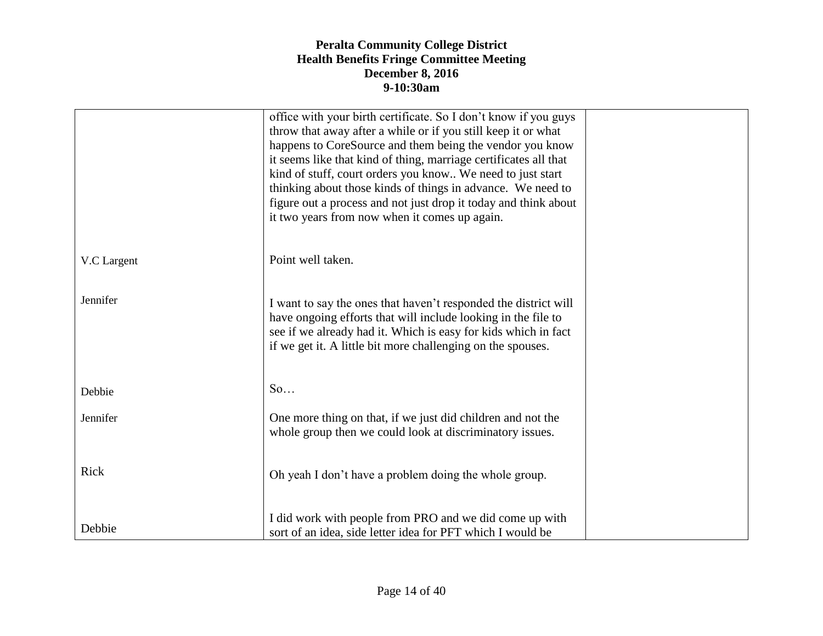|             | office with your birth certificate. So I don't know if you guys<br>throw that away after a while or if you still keep it or what<br>happens to CoreSource and them being the vendor you know<br>it seems like that kind of thing, marriage certificates all that<br>kind of stuff, court orders you know We need to just start<br>thinking about those kinds of things in advance. We need to<br>figure out a process and not just drop it today and think about<br>it two years from now when it comes up again. |  |
|-------------|-------------------------------------------------------------------------------------------------------------------------------------------------------------------------------------------------------------------------------------------------------------------------------------------------------------------------------------------------------------------------------------------------------------------------------------------------------------------------------------------------------------------|--|
| V.C Largent | Point well taken.                                                                                                                                                                                                                                                                                                                                                                                                                                                                                                 |  |
| Jennifer    | I want to say the ones that haven't responded the district will<br>have ongoing efforts that will include looking in the file to<br>see if we already had it. Which is easy for kids which in fact<br>if we get it. A little bit more challenging on the spouses.                                                                                                                                                                                                                                                 |  |
| Debbie      | So                                                                                                                                                                                                                                                                                                                                                                                                                                                                                                                |  |
| Jennifer    | One more thing on that, if we just did children and not the<br>whole group then we could look at discriminatory issues.                                                                                                                                                                                                                                                                                                                                                                                           |  |
| Rick        | Oh yeah I don't have a problem doing the whole group.                                                                                                                                                                                                                                                                                                                                                                                                                                                             |  |
| Debbie      | I did work with people from PRO and we did come up with<br>sort of an idea, side letter idea for PFT which I would be                                                                                                                                                                                                                                                                                                                                                                                             |  |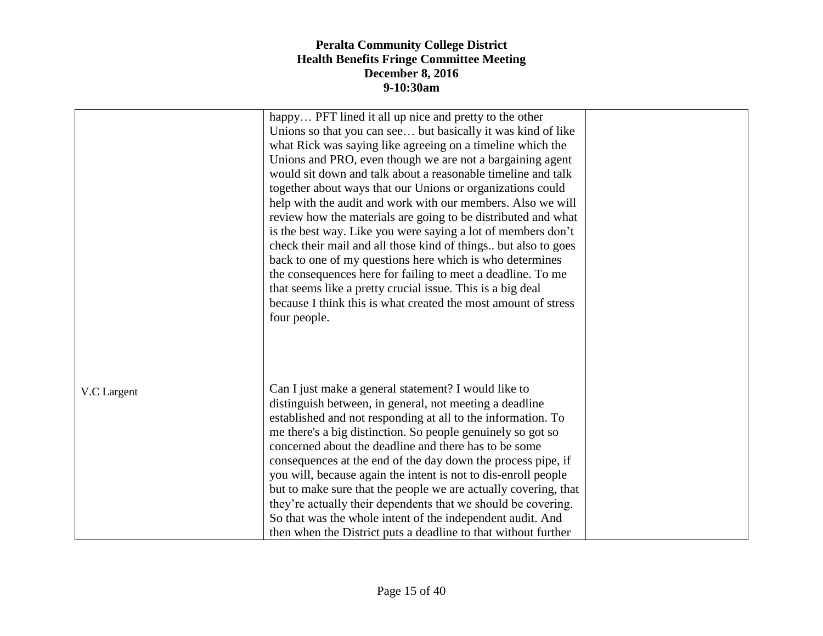|             | happy PFT lined it all up nice and pretty to the other<br>Unions so that you can see but basically it was kind of like<br>what Rick was saying like agreeing on a timeline which the<br>Unions and PRO, even though we are not a bargaining agent<br>would sit down and talk about a reasonable timeline and talk<br>together about ways that our Unions or organizations could<br>help with the audit and work with our members. Also we will<br>review how the materials are going to be distributed and what<br>is the best way. Like you were saying a lot of members don't<br>check their mail and all those kind of things but also to goes<br>back to one of my questions here which is who determines<br>the consequences here for failing to meet a deadline. To me<br>that seems like a pretty crucial issue. This is a big deal<br>because I think this is what created the most amount of stress<br>four people. |  |
|-------------|------------------------------------------------------------------------------------------------------------------------------------------------------------------------------------------------------------------------------------------------------------------------------------------------------------------------------------------------------------------------------------------------------------------------------------------------------------------------------------------------------------------------------------------------------------------------------------------------------------------------------------------------------------------------------------------------------------------------------------------------------------------------------------------------------------------------------------------------------------------------------------------------------------------------------|--|
| V.C Largent | Can I just make a general statement? I would like to<br>distinguish between, in general, not meeting a deadline<br>established and not responding at all to the information. To<br>me there's a big distinction. So people genuinely so got so<br>concerned about the deadline and there has to be some<br>consequences at the end of the day down the process pipe, if<br>you will, because again the intent is not to dis-enroll people<br>but to make sure that the people we are actually covering, that<br>they're actually their dependents that we should be covering.<br>So that was the whole intent of the independent audit. And<br>then when the District puts a deadline to that without further                                                                                                                                                                                                                |  |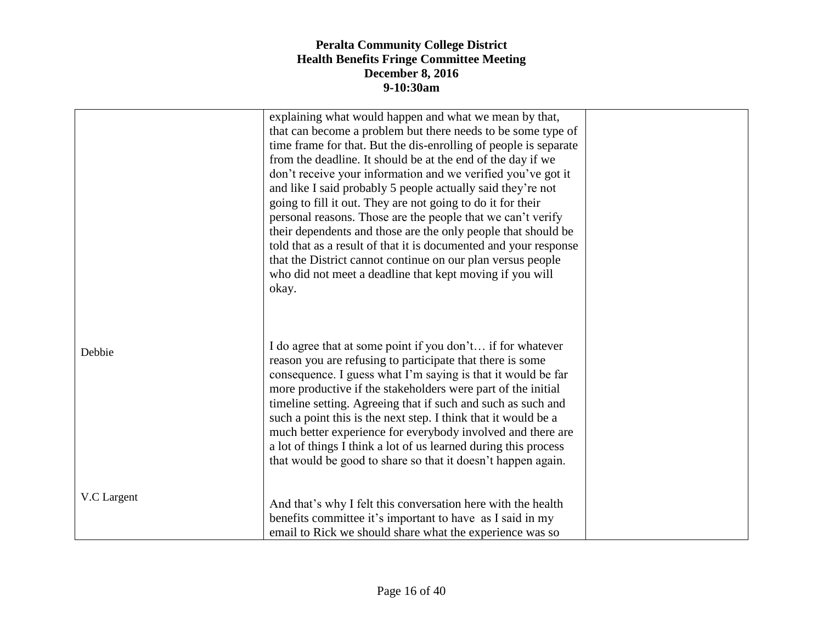|             | explaining what would happen and what we mean by that,<br>that can become a problem but there needs to be some type of<br>time frame for that. But the dis-enrolling of people is separate<br>from the deadline. It should be at the end of the day if we<br>don't receive your information and we verified you've got it<br>and like I said probably 5 people actually said they're not<br>going to fill it out. They are not going to do it for their<br>personal reasons. Those are the people that we can't verify<br>their dependents and those are the only people that should be<br>told that as a result of that it is documented and your response<br>that the District cannot continue on our plan versus people<br>who did not meet a deadline that kept moving if you will<br>okay. |  |
|-------------|-------------------------------------------------------------------------------------------------------------------------------------------------------------------------------------------------------------------------------------------------------------------------------------------------------------------------------------------------------------------------------------------------------------------------------------------------------------------------------------------------------------------------------------------------------------------------------------------------------------------------------------------------------------------------------------------------------------------------------------------------------------------------------------------------|--|
| Debbie      | I do agree that at some point if you don't if for whatever<br>reason you are refusing to participate that there is some<br>consequence. I guess what I'm saying is that it would be far<br>more productive if the stakeholders were part of the initial<br>timeline setting. Agreeing that if such and such as such and<br>such a point this is the next step. I think that it would be a<br>much better experience for everybody involved and there are<br>a lot of things I think a lot of us learned during this process<br>that would be good to share so that it doesn't happen again.                                                                                                                                                                                                     |  |
| V.C Largent | And that's why I felt this conversation here with the health<br>benefits committee it's important to have as I said in my<br>email to Rick we should share what the experience was so                                                                                                                                                                                                                                                                                                                                                                                                                                                                                                                                                                                                           |  |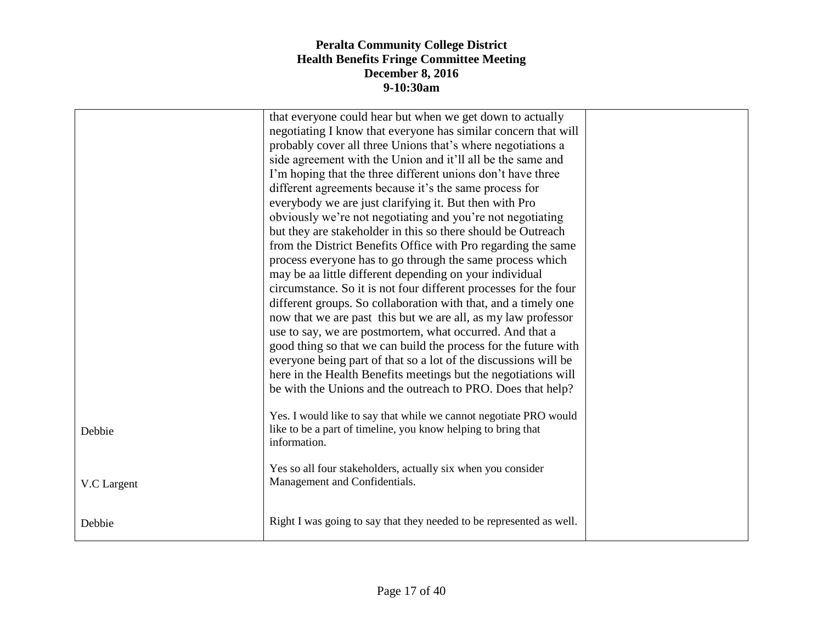| that everyone could hear but when we get down to actually<br>negotiating I know that everyone has similar concern that will<br>probably cover all three Unions that's where negotiations a<br>side agreement with the Union and it'll all be the same and<br>I'm hoping that the three different unions don't have three<br>different agreements because it's the same process for<br>everybody we are just clarifying it. But then with Pro<br>obviously we're not negotiating and you're not negotiating<br>but they are stakeholder in this so there should be Outreach<br>from the District Benefits Office with Pro regarding the same<br>process everyone has to go through the same process which<br>may be aa little different depending on your individual<br>circumstance. So it is not four different processes for the four<br>different groups. So collaboration with that, and a timely one<br>now that we are past this but we are all, as my law professor<br>use to say, we are postmortem, what occurred. And that a<br>good thing so that we can build the process for the future with<br>everyone being part of that so a lot of the discussions will be<br>here in the Health Benefits meetings but the negotiations will<br>be with the Unions and the outreach to PRO. Does that help?<br>Yes. I would like to say that while we cannot negotiate PRO would<br>like to be a part of timeline, you know helping to bring that<br>Debbie<br>information.<br>Yes so all four stakeholders, actually six when you consider<br>Management and Confidentials.<br>V.C Largent<br>Right I was going to say that they needed to be represented as well.<br>Debbie |  |  |
|---------------------------------------------------------------------------------------------------------------------------------------------------------------------------------------------------------------------------------------------------------------------------------------------------------------------------------------------------------------------------------------------------------------------------------------------------------------------------------------------------------------------------------------------------------------------------------------------------------------------------------------------------------------------------------------------------------------------------------------------------------------------------------------------------------------------------------------------------------------------------------------------------------------------------------------------------------------------------------------------------------------------------------------------------------------------------------------------------------------------------------------------------------------------------------------------------------------------------------------------------------------------------------------------------------------------------------------------------------------------------------------------------------------------------------------------------------------------------------------------------------------------------------------------------------------------------------------------------------------------------------------------------------------------------------|--|--|
|                                                                                                                                                                                                                                                                                                                                                                                                                                                                                                                                                                                                                                                                                                                                                                                                                                                                                                                                                                                                                                                                                                                                                                                                                                                                                                                                                                                                                                                                                                                                                                                                                                                                                 |  |  |
|                                                                                                                                                                                                                                                                                                                                                                                                                                                                                                                                                                                                                                                                                                                                                                                                                                                                                                                                                                                                                                                                                                                                                                                                                                                                                                                                                                                                                                                                                                                                                                                                                                                                                 |  |  |
|                                                                                                                                                                                                                                                                                                                                                                                                                                                                                                                                                                                                                                                                                                                                                                                                                                                                                                                                                                                                                                                                                                                                                                                                                                                                                                                                                                                                                                                                                                                                                                                                                                                                                 |  |  |
|                                                                                                                                                                                                                                                                                                                                                                                                                                                                                                                                                                                                                                                                                                                                                                                                                                                                                                                                                                                                                                                                                                                                                                                                                                                                                                                                                                                                                                                                                                                                                                                                                                                                                 |  |  |
|                                                                                                                                                                                                                                                                                                                                                                                                                                                                                                                                                                                                                                                                                                                                                                                                                                                                                                                                                                                                                                                                                                                                                                                                                                                                                                                                                                                                                                                                                                                                                                                                                                                                                 |  |  |
|                                                                                                                                                                                                                                                                                                                                                                                                                                                                                                                                                                                                                                                                                                                                                                                                                                                                                                                                                                                                                                                                                                                                                                                                                                                                                                                                                                                                                                                                                                                                                                                                                                                                                 |  |  |
|                                                                                                                                                                                                                                                                                                                                                                                                                                                                                                                                                                                                                                                                                                                                                                                                                                                                                                                                                                                                                                                                                                                                                                                                                                                                                                                                                                                                                                                                                                                                                                                                                                                                                 |  |  |
|                                                                                                                                                                                                                                                                                                                                                                                                                                                                                                                                                                                                                                                                                                                                                                                                                                                                                                                                                                                                                                                                                                                                                                                                                                                                                                                                                                                                                                                                                                                                                                                                                                                                                 |  |  |
|                                                                                                                                                                                                                                                                                                                                                                                                                                                                                                                                                                                                                                                                                                                                                                                                                                                                                                                                                                                                                                                                                                                                                                                                                                                                                                                                                                                                                                                                                                                                                                                                                                                                                 |  |  |
|                                                                                                                                                                                                                                                                                                                                                                                                                                                                                                                                                                                                                                                                                                                                                                                                                                                                                                                                                                                                                                                                                                                                                                                                                                                                                                                                                                                                                                                                                                                                                                                                                                                                                 |  |  |
|                                                                                                                                                                                                                                                                                                                                                                                                                                                                                                                                                                                                                                                                                                                                                                                                                                                                                                                                                                                                                                                                                                                                                                                                                                                                                                                                                                                                                                                                                                                                                                                                                                                                                 |  |  |
|                                                                                                                                                                                                                                                                                                                                                                                                                                                                                                                                                                                                                                                                                                                                                                                                                                                                                                                                                                                                                                                                                                                                                                                                                                                                                                                                                                                                                                                                                                                                                                                                                                                                                 |  |  |
|                                                                                                                                                                                                                                                                                                                                                                                                                                                                                                                                                                                                                                                                                                                                                                                                                                                                                                                                                                                                                                                                                                                                                                                                                                                                                                                                                                                                                                                                                                                                                                                                                                                                                 |  |  |
|                                                                                                                                                                                                                                                                                                                                                                                                                                                                                                                                                                                                                                                                                                                                                                                                                                                                                                                                                                                                                                                                                                                                                                                                                                                                                                                                                                                                                                                                                                                                                                                                                                                                                 |  |  |
|                                                                                                                                                                                                                                                                                                                                                                                                                                                                                                                                                                                                                                                                                                                                                                                                                                                                                                                                                                                                                                                                                                                                                                                                                                                                                                                                                                                                                                                                                                                                                                                                                                                                                 |  |  |
|                                                                                                                                                                                                                                                                                                                                                                                                                                                                                                                                                                                                                                                                                                                                                                                                                                                                                                                                                                                                                                                                                                                                                                                                                                                                                                                                                                                                                                                                                                                                                                                                                                                                                 |  |  |
|                                                                                                                                                                                                                                                                                                                                                                                                                                                                                                                                                                                                                                                                                                                                                                                                                                                                                                                                                                                                                                                                                                                                                                                                                                                                                                                                                                                                                                                                                                                                                                                                                                                                                 |  |  |
|                                                                                                                                                                                                                                                                                                                                                                                                                                                                                                                                                                                                                                                                                                                                                                                                                                                                                                                                                                                                                                                                                                                                                                                                                                                                                                                                                                                                                                                                                                                                                                                                                                                                                 |  |  |
|                                                                                                                                                                                                                                                                                                                                                                                                                                                                                                                                                                                                                                                                                                                                                                                                                                                                                                                                                                                                                                                                                                                                                                                                                                                                                                                                                                                                                                                                                                                                                                                                                                                                                 |  |  |
|                                                                                                                                                                                                                                                                                                                                                                                                                                                                                                                                                                                                                                                                                                                                                                                                                                                                                                                                                                                                                                                                                                                                                                                                                                                                                                                                                                                                                                                                                                                                                                                                                                                                                 |  |  |
|                                                                                                                                                                                                                                                                                                                                                                                                                                                                                                                                                                                                                                                                                                                                                                                                                                                                                                                                                                                                                                                                                                                                                                                                                                                                                                                                                                                                                                                                                                                                                                                                                                                                                 |  |  |
|                                                                                                                                                                                                                                                                                                                                                                                                                                                                                                                                                                                                                                                                                                                                                                                                                                                                                                                                                                                                                                                                                                                                                                                                                                                                                                                                                                                                                                                                                                                                                                                                                                                                                 |  |  |
|                                                                                                                                                                                                                                                                                                                                                                                                                                                                                                                                                                                                                                                                                                                                                                                                                                                                                                                                                                                                                                                                                                                                                                                                                                                                                                                                                                                                                                                                                                                                                                                                                                                                                 |  |  |
|                                                                                                                                                                                                                                                                                                                                                                                                                                                                                                                                                                                                                                                                                                                                                                                                                                                                                                                                                                                                                                                                                                                                                                                                                                                                                                                                                                                                                                                                                                                                                                                                                                                                                 |  |  |
|                                                                                                                                                                                                                                                                                                                                                                                                                                                                                                                                                                                                                                                                                                                                                                                                                                                                                                                                                                                                                                                                                                                                                                                                                                                                                                                                                                                                                                                                                                                                                                                                                                                                                 |  |  |
|                                                                                                                                                                                                                                                                                                                                                                                                                                                                                                                                                                                                                                                                                                                                                                                                                                                                                                                                                                                                                                                                                                                                                                                                                                                                                                                                                                                                                                                                                                                                                                                                                                                                                 |  |  |
|                                                                                                                                                                                                                                                                                                                                                                                                                                                                                                                                                                                                                                                                                                                                                                                                                                                                                                                                                                                                                                                                                                                                                                                                                                                                                                                                                                                                                                                                                                                                                                                                                                                                                 |  |  |
|                                                                                                                                                                                                                                                                                                                                                                                                                                                                                                                                                                                                                                                                                                                                                                                                                                                                                                                                                                                                                                                                                                                                                                                                                                                                                                                                                                                                                                                                                                                                                                                                                                                                                 |  |  |
|                                                                                                                                                                                                                                                                                                                                                                                                                                                                                                                                                                                                                                                                                                                                                                                                                                                                                                                                                                                                                                                                                                                                                                                                                                                                                                                                                                                                                                                                                                                                                                                                                                                                                 |  |  |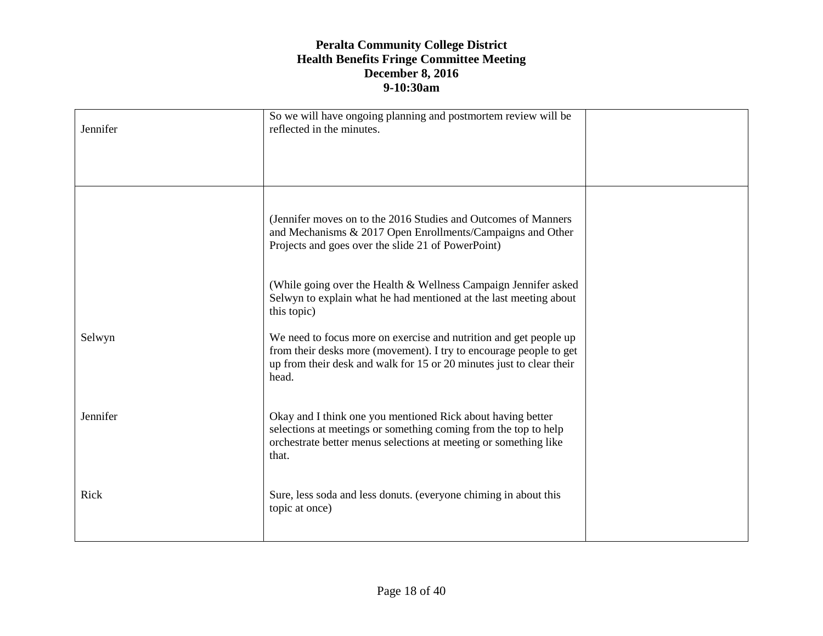| Jennifer | So we will have ongoing planning and postmortem review will be<br>reflected in the minutes.                                                                                                                              |  |
|----------|--------------------------------------------------------------------------------------------------------------------------------------------------------------------------------------------------------------------------|--|
|          | (Jennifer moves on to the 2016 Studies and Outcomes of Manners<br>and Mechanisms & 2017 Open Enrollments/Campaigns and Other<br>Projects and goes over the slide 21 of PowerPoint)                                       |  |
|          | (While going over the Health & Wellness Campaign Jennifer asked<br>Selwyn to explain what he had mentioned at the last meeting about<br>this topic)                                                                      |  |
| Selwyn   | We need to focus more on exercise and nutrition and get people up<br>from their desks more (movement). I try to encourage people to get<br>up from their desk and walk for 15 or 20 minutes just to clear their<br>head. |  |
| Jennifer | Okay and I think one you mentioned Rick about having better<br>selections at meetings or something coming from the top to help<br>orchestrate better menus selections at meeting or something like<br>that.              |  |
| Rick     | Sure, less soda and less donuts. (everyone chiming in about this<br>topic at once)                                                                                                                                       |  |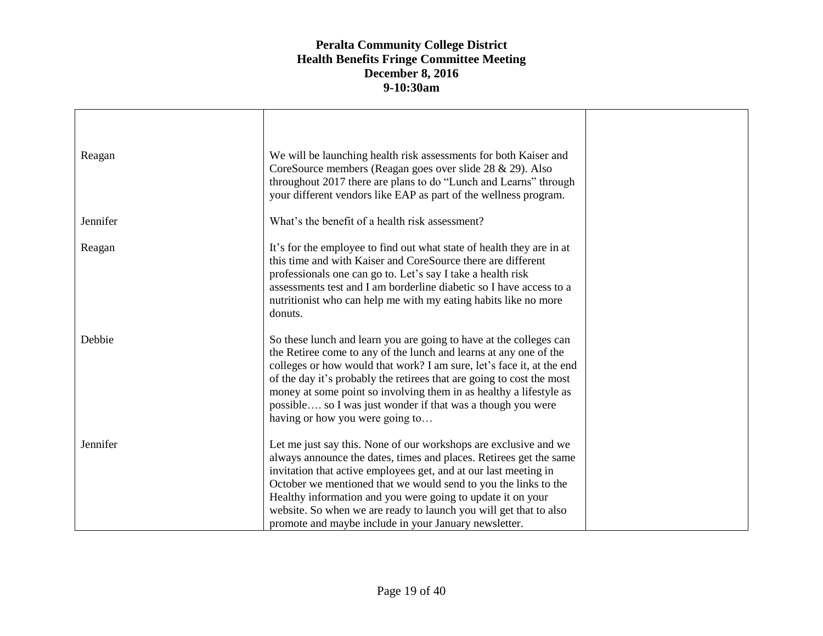| Reagan   | We will be launching health risk assessments for both Kaiser and                                                                                                                                                                                                                                                                                                                                                                                                           |  |
|----------|----------------------------------------------------------------------------------------------------------------------------------------------------------------------------------------------------------------------------------------------------------------------------------------------------------------------------------------------------------------------------------------------------------------------------------------------------------------------------|--|
|          | CoreSource members (Reagan goes over slide 28 & 29). Also<br>throughout 2017 there are plans to do "Lunch and Learns" through<br>your different vendors like EAP as part of the wellness program.                                                                                                                                                                                                                                                                          |  |
| Jennifer | What's the benefit of a health risk assessment?                                                                                                                                                                                                                                                                                                                                                                                                                            |  |
| Reagan   | It's for the employee to find out what state of health they are in at<br>this time and with Kaiser and CoreSource there are different<br>professionals one can go to. Let's say I take a health risk<br>assessments test and I am borderline diabetic so I have access to a<br>nutritionist who can help me with my eating habits like no more<br>donuts.                                                                                                                  |  |
| Debbie   | So these lunch and learn you are going to have at the colleges can<br>the Retiree come to any of the lunch and learns at any one of the<br>colleges or how would that work? I am sure, let's face it, at the end<br>of the day it's probably the retirees that are going to cost the most<br>money at some point so involving them in as healthy a lifestyle as<br>possible so I was just wonder if that was a though you were<br>having or how you were going to          |  |
| Jennifer | Let me just say this. None of our workshops are exclusive and we<br>always announce the dates, times and places. Retirees get the same<br>invitation that active employees get, and at our last meeting in<br>October we mentioned that we would send to you the links to the<br>Healthy information and you were going to update it on your<br>website. So when we are ready to launch you will get that to also<br>promote and maybe include in your January newsletter. |  |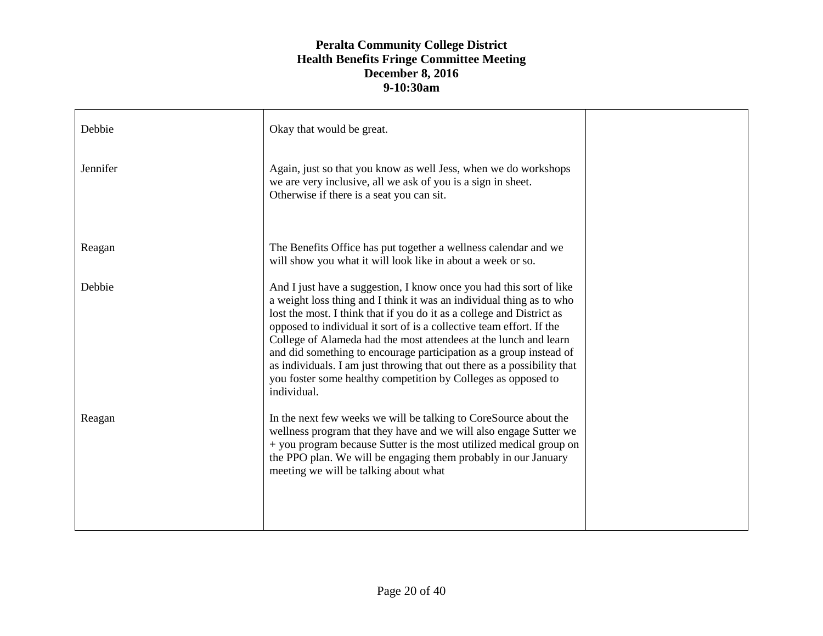| Debbie   | Okay that would be great.                                                                                                                                                                                                                                                                                                                                                                                                                                                                                                                                                                         |  |
|----------|---------------------------------------------------------------------------------------------------------------------------------------------------------------------------------------------------------------------------------------------------------------------------------------------------------------------------------------------------------------------------------------------------------------------------------------------------------------------------------------------------------------------------------------------------------------------------------------------------|--|
| Jennifer | Again, just so that you know as well Jess, when we do workshops<br>we are very inclusive, all we ask of you is a sign in sheet.<br>Otherwise if there is a seat you can sit.                                                                                                                                                                                                                                                                                                                                                                                                                      |  |
| Reagan   | The Benefits Office has put together a wellness calendar and we<br>will show you what it will look like in about a week or so.                                                                                                                                                                                                                                                                                                                                                                                                                                                                    |  |
| Debbie   | And I just have a suggestion, I know once you had this sort of like<br>a weight loss thing and I think it was an individual thing as to who<br>lost the most. I think that if you do it as a college and District as<br>opposed to individual it sort of is a collective team effort. If the<br>College of Alameda had the most attendees at the lunch and learn<br>and did something to encourage participation as a group instead of<br>as individuals. I am just throwing that out there as a possibility that<br>you foster some healthy competition by Colleges as opposed to<br>individual. |  |
| Reagan   | In the next few weeks we will be talking to CoreSource about the<br>wellness program that they have and we will also engage Sutter we<br>+ you program because Sutter is the most utilized medical group on<br>the PPO plan. We will be engaging them probably in our January<br>meeting we will be talking about what                                                                                                                                                                                                                                                                            |  |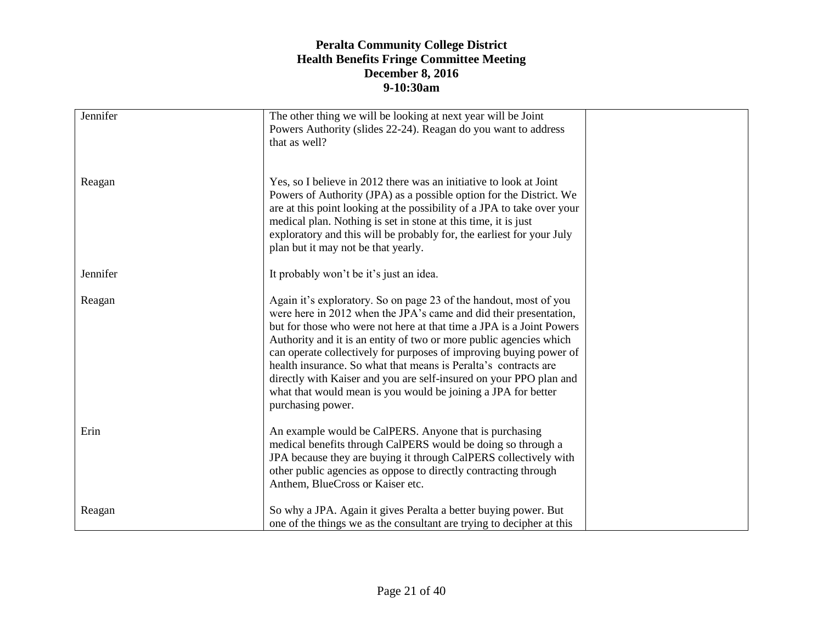| Jennifer | The other thing we will be looking at next year will be Joint<br>Powers Authority (slides 22-24). Reagan do you want to address                                                                                                                                                                                                                                                                                                                                                                                                                                                           |  |
|----------|-------------------------------------------------------------------------------------------------------------------------------------------------------------------------------------------------------------------------------------------------------------------------------------------------------------------------------------------------------------------------------------------------------------------------------------------------------------------------------------------------------------------------------------------------------------------------------------------|--|
|          | that as well?                                                                                                                                                                                                                                                                                                                                                                                                                                                                                                                                                                             |  |
| Reagan   | Yes, so I believe in 2012 there was an initiative to look at Joint<br>Powers of Authority (JPA) as a possible option for the District. We<br>are at this point looking at the possibility of a JPA to take over your<br>medical plan. Nothing is set in stone at this time, it is just<br>exploratory and this will be probably for, the earliest for your July<br>plan but it may not be that yearly.                                                                                                                                                                                    |  |
| Jennifer | It probably won't be it's just an idea.                                                                                                                                                                                                                                                                                                                                                                                                                                                                                                                                                   |  |
| Reagan   | Again it's exploratory. So on page 23 of the handout, most of you<br>were here in 2012 when the JPA's came and did their presentation,<br>but for those who were not here at that time a JPA is a Joint Powers<br>Authority and it is an entity of two or more public agencies which<br>can operate collectively for purposes of improving buying power of<br>health insurance. So what that means is Peralta's contracts are<br>directly with Kaiser and you are self-insured on your PPO plan and<br>what that would mean is you would be joining a JPA for better<br>purchasing power. |  |
| Erin     | An example would be CalPERS. Anyone that is purchasing<br>medical benefits through CalPERS would be doing so through a<br>JPA because they are buying it through CalPERS collectively with<br>other public agencies as oppose to directly contracting through<br>Anthem, BlueCross or Kaiser etc.                                                                                                                                                                                                                                                                                         |  |
| Reagan   | So why a JPA. Again it gives Peralta a better buying power. But<br>one of the things we as the consultant are trying to decipher at this                                                                                                                                                                                                                                                                                                                                                                                                                                                  |  |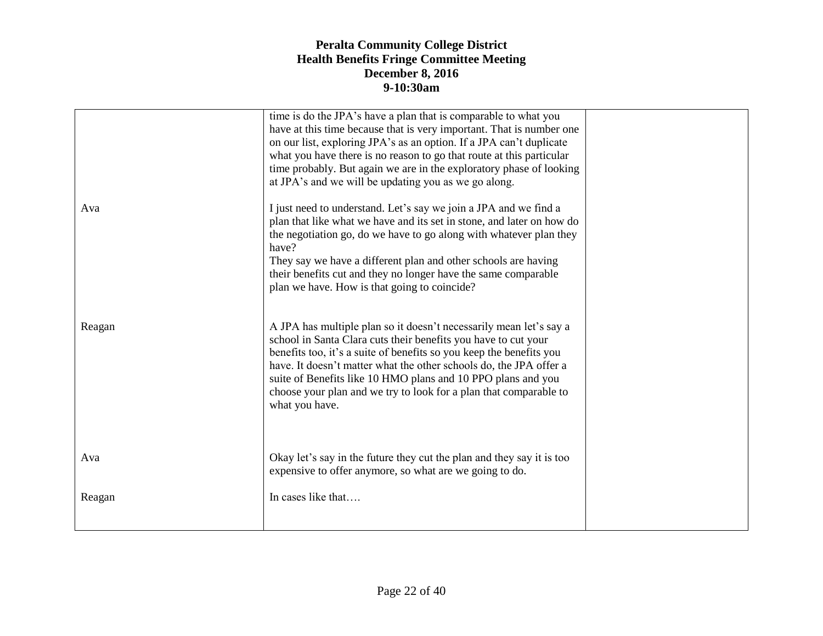|        | time is do the JPA's have a plan that is comparable to what you<br>have at this time because that is very important. That is number one<br>on our list, exploring JPA's as an option. If a JPA can't duplicate<br>what you have there is no reason to go that route at this particular<br>time probably. But again we are in the exploratory phase of looking<br>at JPA's and we will be updating you as we go along.                    |  |
|--------|------------------------------------------------------------------------------------------------------------------------------------------------------------------------------------------------------------------------------------------------------------------------------------------------------------------------------------------------------------------------------------------------------------------------------------------|--|
| Ava    | I just need to understand. Let's say we join a JPA and we find a<br>plan that like what we have and its set in stone, and later on how do<br>the negotiation go, do we have to go along with whatever plan they<br>have?<br>They say we have a different plan and other schools are having<br>their benefits cut and they no longer have the same comparable<br>plan we have. How is that going to coincide?                             |  |
| Reagan | A JPA has multiple plan so it doesn't necessarily mean let's say a<br>school in Santa Clara cuts their benefits you have to cut your<br>benefits too, it's a suite of benefits so you keep the benefits you<br>have. It doesn't matter what the other schools do, the JPA offer a<br>suite of Benefits like 10 HMO plans and 10 PPO plans and you<br>choose your plan and we try to look for a plan that comparable to<br>what you have. |  |
| Ava    | Okay let's say in the future they cut the plan and they say it is too<br>expensive to offer anymore, so what are we going to do.                                                                                                                                                                                                                                                                                                         |  |
| Reagan | In cases like that                                                                                                                                                                                                                                                                                                                                                                                                                       |  |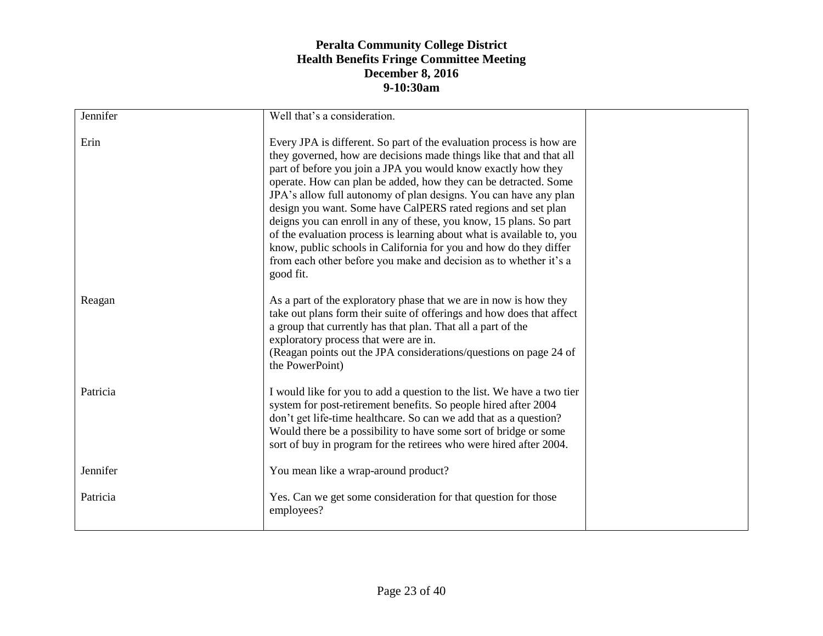| Jennifer | Well that's a consideration.                                                                                                                                                                                                                                                                                                                                                                                                                                                                                                                                                                                                                                                                                               |  |
|----------|----------------------------------------------------------------------------------------------------------------------------------------------------------------------------------------------------------------------------------------------------------------------------------------------------------------------------------------------------------------------------------------------------------------------------------------------------------------------------------------------------------------------------------------------------------------------------------------------------------------------------------------------------------------------------------------------------------------------------|--|
|          |                                                                                                                                                                                                                                                                                                                                                                                                                                                                                                                                                                                                                                                                                                                            |  |
| Erin     | Every JPA is different. So part of the evaluation process is how are<br>they governed, how are decisions made things like that and that all<br>part of before you join a JPA you would know exactly how they<br>operate. How can plan be added, how they can be detracted. Some<br>JPA's allow full autonomy of plan designs. You can have any plan<br>design you want. Some have CalPERS rated regions and set plan<br>deigns you can enroll in any of these, you know, 15 plans. So part<br>of the evaluation process is learning about what is available to, you<br>know, public schools in California for you and how do they differ<br>from each other before you make and decision as to whether it's a<br>good fit. |  |
| Reagan   | As a part of the exploratory phase that we are in now is how they<br>take out plans form their suite of offerings and how does that affect<br>a group that currently has that plan. That all a part of the<br>exploratory process that were are in.<br>(Reagan points out the JPA considerations/questions on page 24 of<br>the PowerPoint)                                                                                                                                                                                                                                                                                                                                                                                |  |
| Patricia | I would like for you to add a question to the list. We have a two tier<br>system for post-retirement benefits. So people hired after 2004<br>don't get life-time healthcare. So can we add that as a question?<br>Would there be a possibility to have some sort of bridge or some<br>sort of buy in program for the retirees who were hired after 2004.                                                                                                                                                                                                                                                                                                                                                                   |  |
| Jennifer | You mean like a wrap-around product?                                                                                                                                                                                                                                                                                                                                                                                                                                                                                                                                                                                                                                                                                       |  |
| Patricia | Yes. Can we get some consideration for that question for those<br>employees?                                                                                                                                                                                                                                                                                                                                                                                                                                                                                                                                                                                                                                               |  |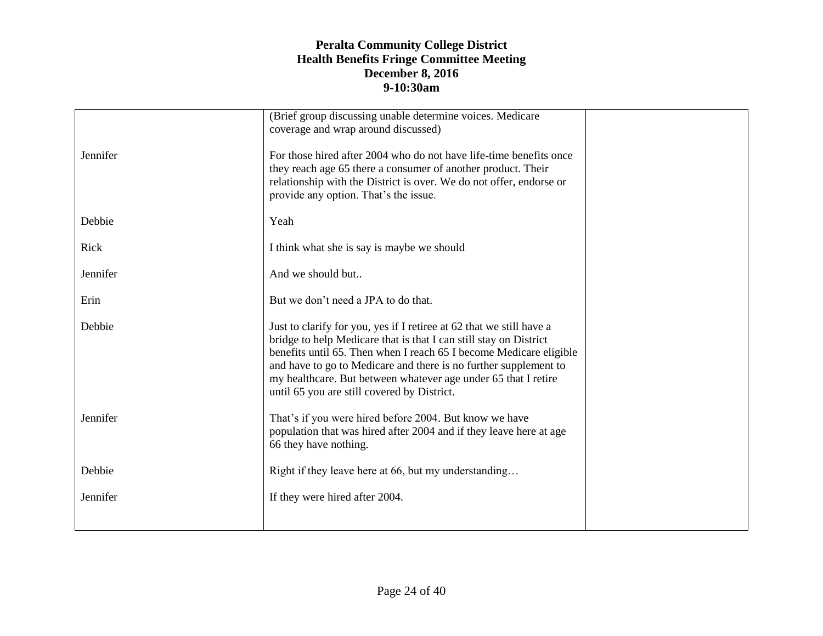|          | (Brief group discussing unable determine voices. Medicare<br>coverage and wrap around discussed)                                                                                                                                                                                                                                                                                                     |  |
|----------|------------------------------------------------------------------------------------------------------------------------------------------------------------------------------------------------------------------------------------------------------------------------------------------------------------------------------------------------------------------------------------------------------|--|
| Jennifer | For those hired after 2004 who do not have life-time benefits once<br>they reach age 65 there a consumer of another product. Their<br>relationship with the District is over. We do not offer, endorse or<br>provide any option. That's the issue.                                                                                                                                                   |  |
| Debbie   | Yeah                                                                                                                                                                                                                                                                                                                                                                                                 |  |
| Rick     | I think what she is say is maybe we should                                                                                                                                                                                                                                                                                                                                                           |  |
| Jennifer | And we should but                                                                                                                                                                                                                                                                                                                                                                                    |  |
| Erin     | But we don't need a JPA to do that.                                                                                                                                                                                                                                                                                                                                                                  |  |
| Debbie   | Just to clarify for you, yes if I retiree at 62 that we still have a<br>bridge to help Medicare that is that I can still stay on District<br>benefits until 65. Then when I reach 65 I become Medicare eligible<br>and have to go to Medicare and there is no further supplement to<br>my healthcare. But between whatever age under 65 that I retire<br>until 65 you are still covered by District. |  |
| Jennifer | That's if you were hired before 2004. But know we have<br>population that was hired after 2004 and if they leave here at age<br>66 they have nothing.                                                                                                                                                                                                                                                |  |
| Debbie   | Right if they leave here at 66, but my understanding                                                                                                                                                                                                                                                                                                                                                 |  |
| Jennifer | If they were hired after 2004.                                                                                                                                                                                                                                                                                                                                                                       |  |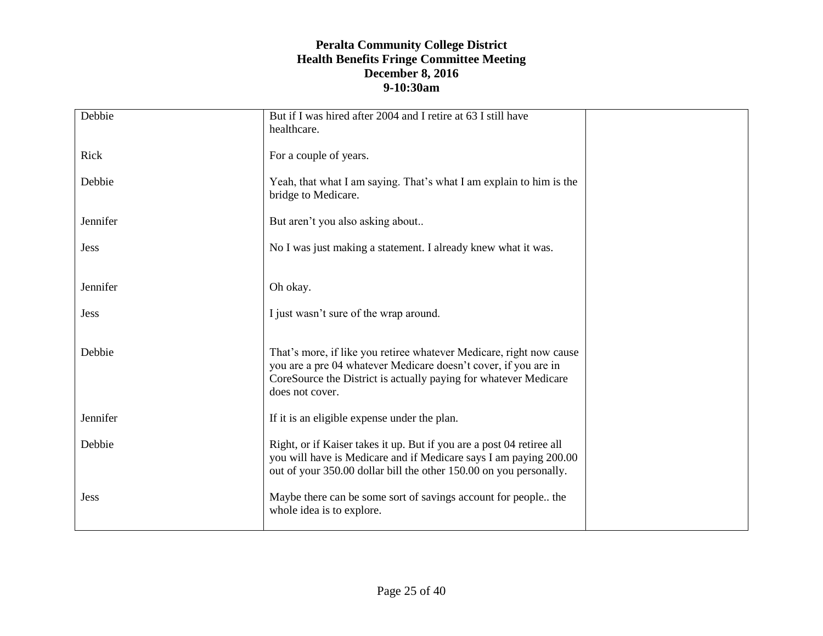| Debbie      | But if I was hired after 2004 and I retire at 63 I still have         |  |
|-------------|-----------------------------------------------------------------------|--|
|             | healthcare.                                                           |  |
| Rick        | For a couple of years.                                                |  |
|             |                                                                       |  |
| Debbie      | Yeah, that what I am saying. That's what I am explain to him is the   |  |
|             | bridge to Medicare.                                                   |  |
| Jennifer    | But aren't you also asking about                                      |  |
|             |                                                                       |  |
| <b>Jess</b> | No I was just making a statement. I already knew what it was.         |  |
|             |                                                                       |  |
| Jennifer    | Oh okay.                                                              |  |
|             |                                                                       |  |
| <b>Jess</b> | I just wasn't sure of the wrap around.                                |  |
|             |                                                                       |  |
| Debbie      | That's more, if like you retiree whatever Medicare, right now cause   |  |
|             | you are a pre 04 whatever Medicare doesn't cover, if you are in       |  |
|             | CoreSource the District is actually paying for whatever Medicare      |  |
|             | does not cover.                                                       |  |
| Jennifer    | If it is an eligible expense under the plan.                          |  |
|             |                                                                       |  |
| Debbie      | Right, or if Kaiser takes it up. But if you are a post 04 retiree all |  |
|             | you will have is Medicare and if Medicare says I am paying 200.00     |  |
|             | out of your 350.00 dollar bill the other 150.00 on you personally.    |  |
| <b>Jess</b> | Maybe there can be some sort of savings account for people the        |  |
|             | whole idea is to explore.                                             |  |
|             |                                                                       |  |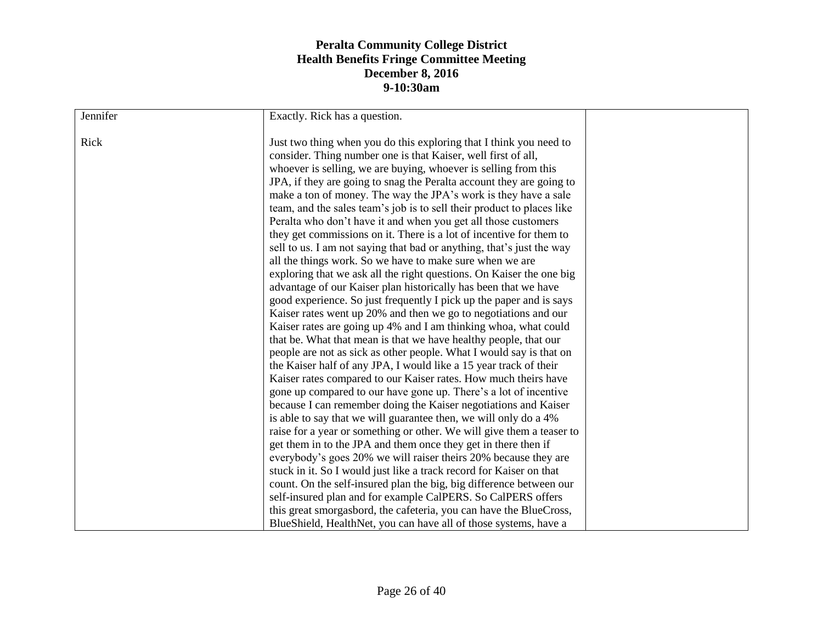| Jennifer<br>Rick | Exactly. Rick has a question.<br>Just two thing when you do this exploring that I think you need to<br>consider. Thing number one is that Kaiser, well first of all,<br>whoever is selling, we are buying, whoever is selling from this<br>JPA, if they are going to snag the Peralta account they are going to<br>make a ton of money. The way the JPA's work is they have a sale<br>team, and the sales team's job is to sell their product to places like<br>Peralta who don't have it and when you get all those customers<br>they get commissions on it. There is a lot of incentive for them to<br>sell to us. I am not saying that bad or anything, that's just the way<br>all the things work. So we have to make sure when we are<br>exploring that we ask all the right questions. On Kaiser the one big<br>advantage of our Kaiser plan historically has been that we have<br>good experience. So just frequently I pick up the paper and is says<br>Kaiser rates went up 20% and then we go to negotiations and our<br>Kaiser rates are going up 4% and I am thinking whoa, what could<br>that be. What that mean is that we have healthy people, that our<br>people are not as sick as other people. What I would say is that on<br>the Kaiser half of any JPA, I would like a 15 year track of their<br>Kaiser rates compared to our Kaiser rates. How much theirs have<br>gone up compared to our have gone up. There's a lot of incentive<br>because I can remember doing the Kaiser negotiations and Kaiser<br>is able to say that we will guarantee then, we will only do a 4%<br>raise for a year or something or other. We will give them a teaser to |  |
|------------------|---------------------------------------------------------------------------------------------------------------------------------------------------------------------------------------------------------------------------------------------------------------------------------------------------------------------------------------------------------------------------------------------------------------------------------------------------------------------------------------------------------------------------------------------------------------------------------------------------------------------------------------------------------------------------------------------------------------------------------------------------------------------------------------------------------------------------------------------------------------------------------------------------------------------------------------------------------------------------------------------------------------------------------------------------------------------------------------------------------------------------------------------------------------------------------------------------------------------------------------------------------------------------------------------------------------------------------------------------------------------------------------------------------------------------------------------------------------------------------------------------------------------------------------------------------------------------------------------------------------------------------------------------------------------------|--|
|                  | get them in to the JPA and them once they get in there then if                                                                                                                                                                                                                                                                                                                                                                                                                                                                                                                                                                                                                                                                                                                                                                                                                                                                                                                                                                                                                                                                                                                                                                                                                                                                                                                                                                                                                                                                                                                                                                                                            |  |
|                  | everybody's goes 20% we will raiser theirs 20% because they are                                                                                                                                                                                                                                                                                                                                                                                                                                                                                                                                                                                                                                                                                                                                                                                                                                                                                                                                                                                                                                                                                                                                                                                                                                                                                                                                                                                                                                                                                                                                                                                                           |  |
|                  | stuck in it. So I would just like a track record for Kaiser on that                                                                                                                                                                                                                                                                                                                                                                                                                                                                                                                                                                                                                                                                                                                                                                                                                                                                                                                                                                                                                                                                                                                                                                                                                                                                                                                                                                                                                                                                                                                                                                                                       |  |
|                  | count. On the self-insured plan the big, big difference between our                                                                                                                                                                                                                                                                                                                                                                                                                                                                                                                                                                                                                                                                                                                                                                                                                                                                                                                                                                                                                                                                                                                                                                                                                                                                                                                                                                                                                                                                                                                                                                                                       |  |
|                  | self-insured plan and for example CalPERS. So CalPERS offers                                                                                                                                                                                                                                                                                                                                                                                                                                                                                                                                                                                                                                                                                                                                                                                                                                                                                                                                                                                                                                                                                                                                                                                                                                                                                                                                                                                                                                                                                                                                                                                                              |  |
|                  | this great smorgasbord, the cafeteria, you can have the BlueCross,                                                                                                                                                                                                                                                                                                                                                                                                                                                                                                                                                                                                                                                                                                                                                                                                                                                                                                                                                                                                                                                                                                                                                                                                                                                                                                                                                                                                                                                                                                                                                                                                        |  |
|                  | BlueShield, HealthNet, you can have all of those systems, have a                                                                                                                                                                                                                                                                                                                                                                                                                                                                                                                                                                                                                                                                                                                                                                                                                                                                                                                                                                                                                                                                                                                                                                                                                                                                                                                                                                                                                                                                                                                                                                                                          |  |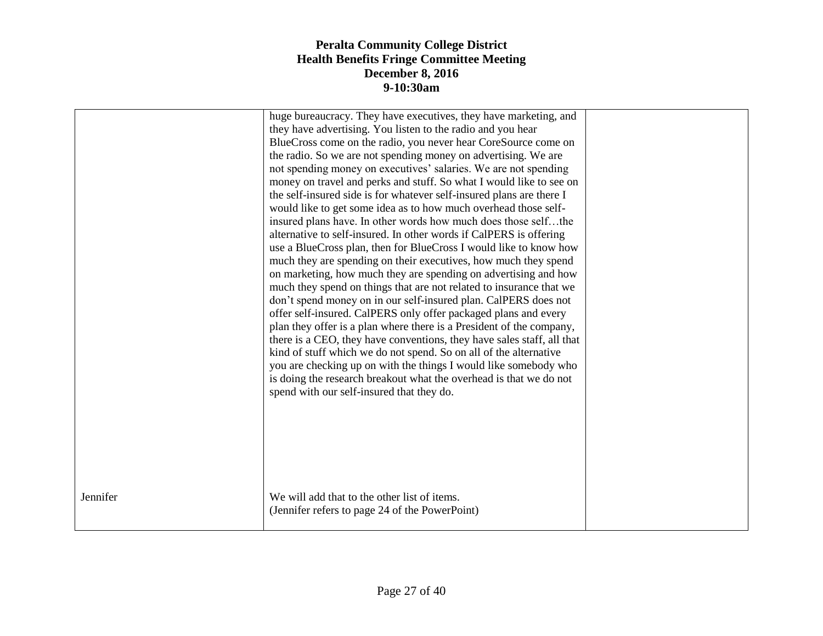|          | huge bureaucracy. They have executives, they have marketing, and<br>they have advertising. You listen to the radio and you hear<br>BlueCross come on the radio, you never hear CoreSource come on<br>the radio. So we are not spending money on advertising. We are<br>not spending money on executives' salaries. We are not spending<br>money on travel and perks and stuff. So what I would like to see on<br>the self-insured side is for whatever self-insured plans are there I<br>would like to get some idea as to how much overhead those self-<br>insured plans have. In other words how much does those selfthe<br>alternative to self-insured. In other words if CalPERS is offering<br>use a BlueCross plan, then for BlueCross I would like to know how<br>much they are spending on their executives, how much they spend<br>on marketing, how much they are spending on advertising and how<br>much they spend on things that are not related to insurance that we<br>don't spend money on in our self-insured plan. CalPERS does not<br>offer self-insured. CalPERS only offer packaged plans and every<br>plan they offer is a plan where there is a President of the company,<br>there is a CEO, they have conventions, they have sales staff, all that<br>kind of stuff which we do not spend. So on all of the alternative<br>you are checking up on with the things I would like somebody who<br>is doing the research breakout what the overhead is that we do not<br>spend with our self-insured that they do. |  |
|----------|----------------------------------------------------------------------------------------------------------------------------------------------------------------------------------------------------------------------------------------------------------------------------------------------------------------------------------------------------------------------------------------------------------------------------------------------------------------------------------------------------------------------------------------------------------------------------------------------------------------------------------------------------------------------------------------------------------------------------------------------------------------------------------------------------------------------------------------------------------------------------------------------------------------------------------------------------------------------------------------------------------------------------------------------------------------------------------------------------------------------------------------------------------------------------------------------------------------------------------------------------------------------------------------------------------------------------------------------------------------------------------------------------------------------------------------------------------------------------------------------------------------------------------------|--|
| Jennifer | We will add that to the other list of items.<br>(Jennifer refers to page 24 of the PowerPoint)                                                                                                                                                                                                                                                                                                                                                                                                                                                                                                                                                                                                                                                                                                                                                                                                                                                                                                                                                                                                                                                                                                                                                                                                                                                                                                                                                                                                                                         |  |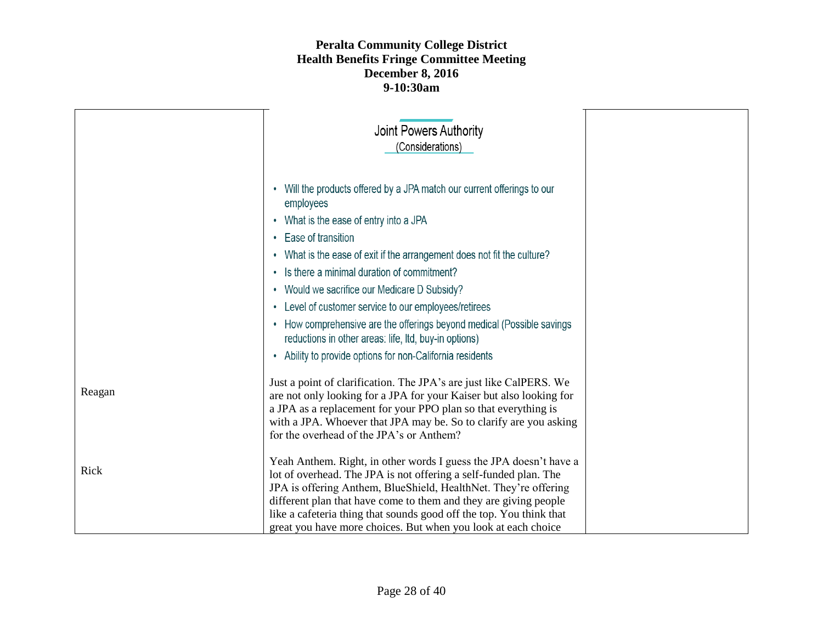|        | Joint Powers Authority<br>(Considerations)                                                                                                                                                                                                                                                                                                                                                                                                                                                                                                                                                                                                        |
|--------|---------------------------------------------------------------------------------------------------------------------------------------------------------------------------------------------------------------------------------------------------------------------------------------------------------------------------------------------------------------------------------------------------------------------------------------------------------------------------------------------------------------------------------------------------------------------------------------------------------------------------------------------------|
|        | • Will the products offered by a JPA match our current offerings to our<br>employees<br>• What is the ease of entry into a JPA<br>Ease of transition<br>$\bullet$<br>What is the ease of exit if the arrangement does not fit the culture?<br>$\bullet$<br>Is there a minimal duration of commitment?<br>$\bullet$<br>Would we sacrifice our Medicare D Subsidy?<br>$\bullet$<br>Level of customer service to our employees/retirees<br>$\bullet$<br>• How comprehensive are the offerings beyond medical (Possible savings<br>reductions in other areas: life, ltd, buy-in options)<br>• Ability to provide options for non-California residents |
| Reagan | Just a point of clarification. The JPA's are just like CalPERS. We<br>are not only looking for a JPA for your Kaiser but also looking for<br>a JPA as a replacement for your PPO plan so that everything is<br>with a JPA. Whoever that JPA may be. So to clarify are you asking<br>for the overhead of the JPA's or Anthem?                                                                                                                                                                                                                                                                                                                      |
| Rick   | Yeah Anthem. Right, in other words I guess the JPA doesn't have a<br>lot of overhead. The JPA is not offering a self-funded plan. The<br>JPA is offering Anthem, BlueShield, HealthNet. They're offering<br>different plan that have come to them and they are giving people<br>like a cafeteria thing that sounds good off the top. You think that<br>great you have more choices. But when you look at each choice                                                                                                                                                                                                                              |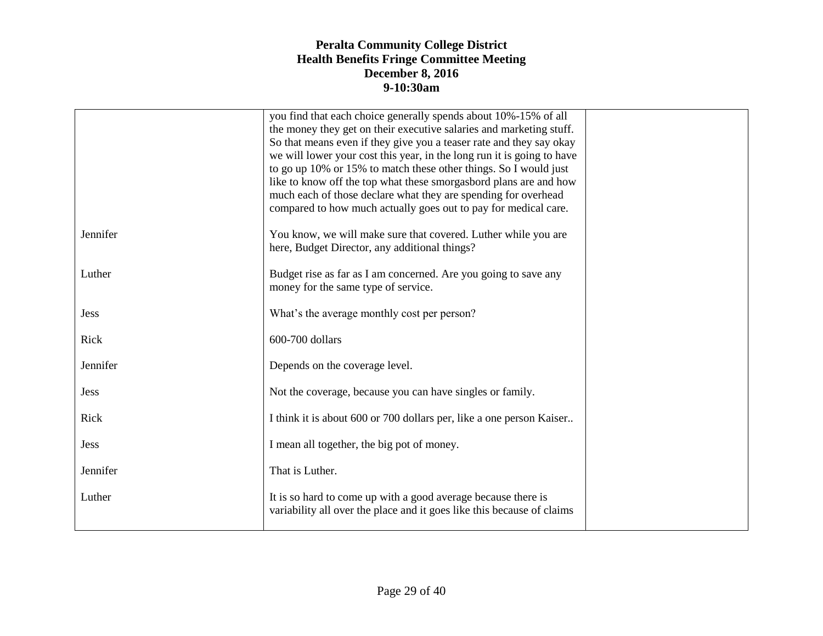|             | you find that each choice generally spends about 10%-15% of all<br>the money they get on their executive salaries and marketing stuff.<br>So that means even if they give you a teaser rate and they say okay<br>we will lower your cost this year, in the long run it is going to have<br>to go up 10% or 15% to match these other things. So I would just<br>like to know off the top what these smorgasbord plans are and how<br>much each of those declare what they are spending for overhead<br>compared to how much actually goes out to pay for medical care. |  |
|-------------|-----------------------------------------------------------------------------------------------------------------------------------------------------------------------------------------------------------------------------------------------------------------------------------------------------------------------------------------------------------------------------------------------------------------------------------------------------------------------------------------------------------------------------------------------------------------------|--|
| Jennifer    | You know, we will make sure that covered. Luther while you are<br>here, Budget Director, any additional things?                                                                                                                                                                                                                                                                                                                                                                                                                                                       |  |
| Luther      | Budget rise as far as I am concerned. Are you going to save any<br>money for the same type of service.                                                                                                                                                                                                                                                                                                                                                                                                                                                                |  |
| <b>Jess</b> | What's the average monthly cost per person?                                                                                                                                                                                                                                                                                                                                                                                                                                                                                                                           |  |
| Rick        | 600-700 dollars                                                                                                                                                                                                                                                                                                                                                                                                                                                                                                                                                       |  |
| Jennifer    | Depends on the coverage level.                                                                                                                                                                                                                                                                                                                                                                                                                                                                                                                                        |  |
| <b>Jess</b> | Not the coverage, because you can have singles or family.                                                                                                                                                                                                                                                                                                                                                                                                                                                                                                             |  |
| Rick        | I think it is about 600 or 700 dollars per, like a one person Kaiser                                                                                                                                                                                                                                                                                                                                                                                                                                                                                                  |  |
| <b>Jess</b> | I mean all together, the big pot of money.                                                                                                                                                                                                                                                                                                                                                                                                                                                                                                                            |  |
| Jennifer    | That is Luther.                                                                                                                                                                                                                                                                                                                                                                                                                                                                                                                                                       |  |
| Luther      | It is so hard to come up with a good average because there is<br>variability all over the place and it goes like this because of claims                                                                                                                                                                                                                                                                                                                                                                                                                               |  |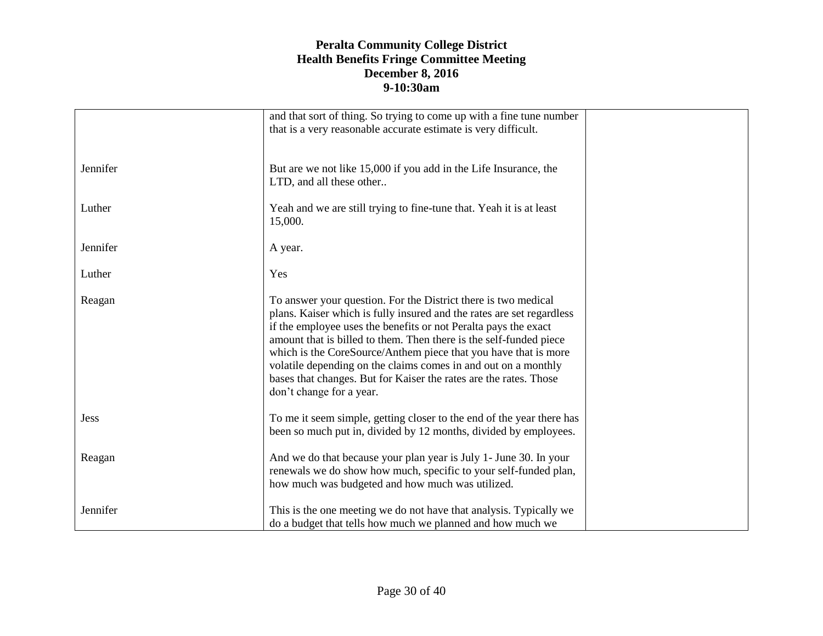|             | and that sort of thing. So trying to come up with a fine tune number<br>that is a very reasonable accurate estimate is very difficult.                                                                                                                                                                                                                                                                                                                                                                                 |  |
|-------------|------------------------------------------------------------------------------------------------------------------------------------------------------------------------------------------------------------------------------------------------------------------------------------------------------------------------------------------------------------------------------------------------------------------------------------------------------------------------------------------------------------------------|--|
| Jennifer    | But are we not like 15,000 if you add in the Life Insurance, the<br>LTD, and all these other                                                                                                                                                                                                                                                                                                                                                                                                                           |  |
| Luther      | Yeah and we are still trying to fine-tune that. Yeah it is at least<br>15,000.                                                                                                                                                                                                                                                                                                                                                                                                                                         |  |
| Jennifer    | A year.                                                                                                                                                                                                                                                                                                                                                                                                                                                                                                                |  |
| Luther      | Yes                                                                                                                                                                                                                                                                                                                                                                                                                                                                                                                    |  |
| Reagan      | To answer your question. For the District there is two medical<br>plans. Kaiser which is fully insured and the rates are set regardless<br>if the employee uses the benefits or not Peralta pays the exact<br>amount that is billed to them. Then there is the self-funded piece<br>which is the CoreSource/Anthem piece that you have that is more<br>volatile depending on the claims comes in and out on a monthly<br>bases that changes. But for Kaiser the rates are the rates. Those<br>don't change for a year. |  |
| <b>Jess</b> | To me it seem simple, getting closer to the end of the year there has<br>been so much put in, divided by 12 months, divided by employees.                                                                                                                                                                                                                                                                                                                                                                              |  |
| Reagan      | And we do that because your plan year is July 1- June 30. In your<br>renewals we do show how much, specific to your self-funded plan,<br>how much was budgeted and how much was utilized.                                                                                                                                                                                                                                                                                                                              |  |
| Jennifer    | This is the one meeting we do not have that analysis. Typically we<br>do a budget that tells how much we planned and how much we                                                                                                                                                                                                                                                                                                                                                                                       |  |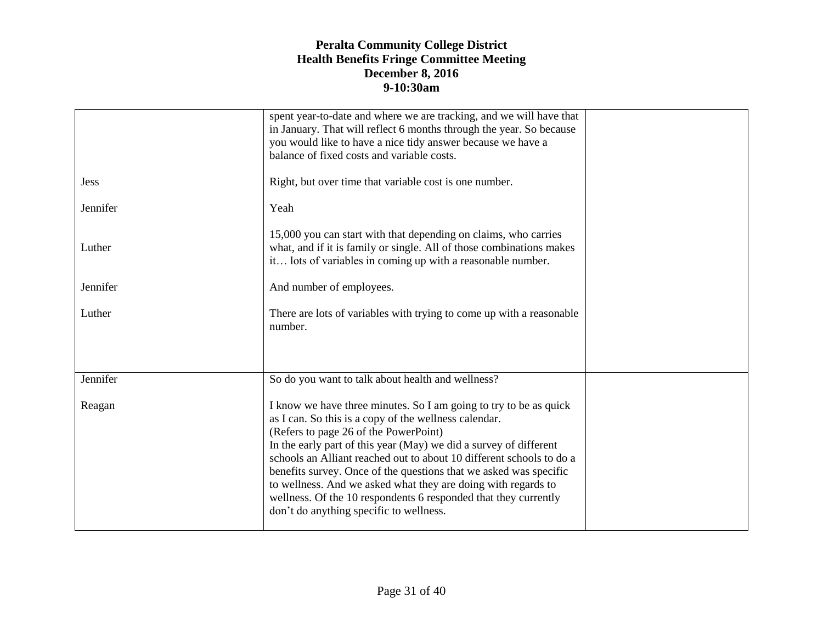|             | spent year-to-date and where we are tracking, and we will have that<br>in January. That will reflect 6 months through the year. So because<br>you would like to have a nice tidy answer because we have a<br>balance of fixed costs and variable costs.                                                                                                                                                                                                                                                                                                              |  |
|-------------|----------------------------------------------------------------------------------------------------------------------------------------------------------------------------------------------------------------------------------------------------------------------------------------------------------------------------------------------------------------------------------------------------------------------------------------------------------------------------------------------------------------------------------------------------------------------|--|
| <b>Jess</b> | Right, but over time that variable cost is one number.                                                                                                                                                                                                                                                                                                                                                                                                                                                                                                               |  |
| Jennifer    | Yeah                                                                                                                                                                                                                                                                                                                                                                                                                                                                                                                                                                 |  |
| Luther      | 15,000 you can start with that depending on claims, who carries<br>what, and if it is family or single. All of those combinations makes<br>it lots of variables in coming up with a reasonable number.                                                                                                                                                                                                                                                                                                                                                               |  |
| Jennifer    | And number of employees.                                                                                                                                                                                                                                                                                                                                                                                                                                                                                                                                             |  |
| Luther      | There are lots of variables with trying to come up with a reasonable<br>number.                                                                                                                                                                                                                                                                                                                                                                                                                                                                                      |  |
| Jennifer    | So do you want to talk about health and wellness?                                                                                                                                                                                                                                                                                                                                                                                                                                                                                                                    |  |
| Reagan      | I know we have three minutes. So I am going to try to be as quick<br>as I can. So this is a copy of the wellness calendar.<br>(Refers to page 26 of the PowerPoint)<br>In the early part of this year (May) we did a survey of different<br>schools an Alliant reached out to about 10 different schools to do a<br>benefits survey. Once of the questions that we asked was specific<br>to wellness. And we asked what they are doing with regards to<br>wellness. Of the 10 respondents 6 responded that they currently<br>don't do anything specific to wellness. |  |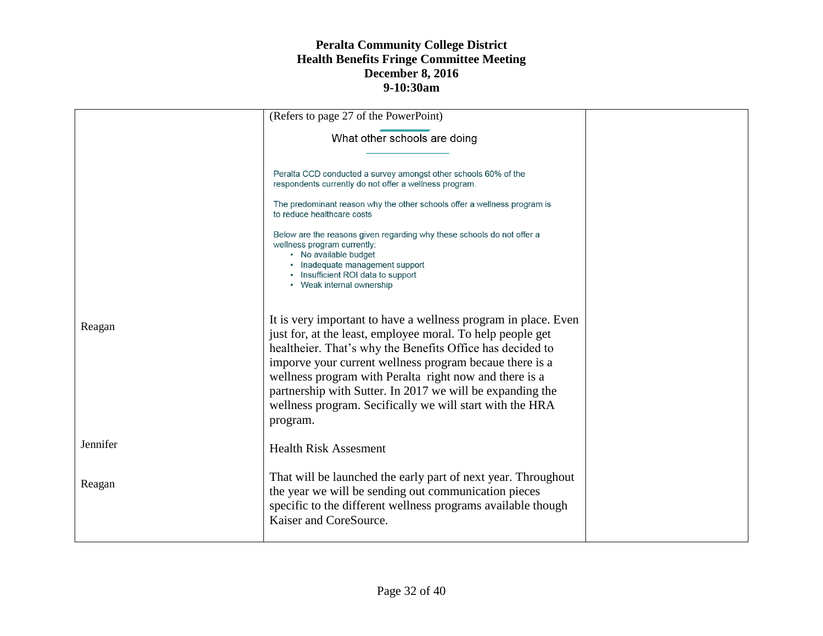|          | (Refers to page 27 of the PowerPoint)                                                                                                                                                                                                                                                                                                                                                                                                               |  |
|----------|-----------------------------------------------------------------------------------------------------------------------------------------------------------------------------------------------------------------------------------------------------------------------------------------------------------------------------------------------------------------------------------------------------------------------------------------------------|--|
|          | What other schools are doing                                                                                                                                                                                                                                                                                                                                                                                                                        |  |
|          |                                                                                                                                                                                                                                                                                                                                                                                                                                                     |  |
|          | Peralta CCD conducted a survey amongst other schools 60% of the<br>respondents currently do not offer a wellness program.                                                                                                                                                                                                                                                                                                                           |  |
|          | The predominant reason why the other schools offer a wellness program is<br>to reduce healthcare costs                                                                                                                                                                                                                                                                                                                                              |  |
|          | Below are the reasons given regarding why these schools do not offer a<br>wellness program currently:<br>• No available budget<br>• Inadequate management support<br>• Insufficient ROI data to support<br>• Weak internal ownership                                                                                                                                                                                                                |  |
| Reagan   | It is very important to have a wellness program in place. Even<br>just for, at the least, employee moral. To help people get<br>healtheier. That's why the Benefits Office has decided to<br>imporve your current wellness program becaue there is a<br>wellness program with Peralta right now and there is a<br>partnership with Sutter. In 2017 we will be expanding the<br>wellness program. Secifically we will start with the HRA<br>program. |  |
| Jennifer | <b>Health Risk Assesment</b>                                                                                                                                                                                                                                                                                                                                                                                                                        |  |
| Reagan   | That will be launched the early part of next year. Throughout<br>the year we will be sending out communication pieces<br>specific to the different wellness programs available though<br>Kaiser and CoreSource.                                                                                                                                                                                                                                     |  |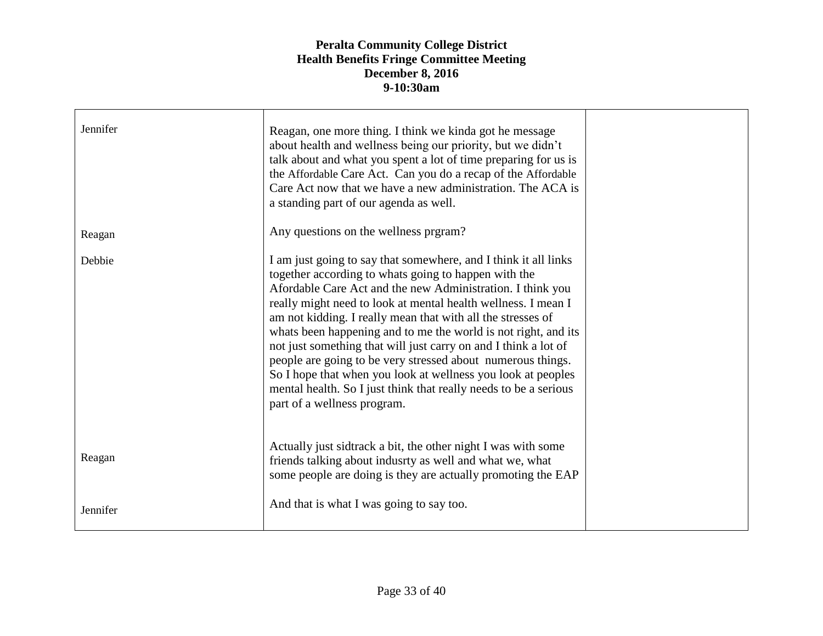| Jennifer | Reagan, one more thing. I think we kinda got he message<br>about health and wellness being our priority, but we didn't<br>talk about and what you spent a lot of time preparing for us is<br>the Affordable Care Act. Can you do a recap of the Affordable<br>Care Act now that we have a new administration. The ACA is<br>a standing part of our agenda as well.                                                                                                                                                                                                                                                                                                                           |  |
|----------|----------------------------------------------------------------------------------------------------------------------------------------------------------------------------------------------------------------------------------------------------------------------------------------------------------------------------------------------------------------------------------------------------------------------------------------------------------------------------------------------------------------------------------------------------------------------------------------------------------------------------------------------------------------------------------------------|--|
| Reagan   | Any questions on the wellness prgram?                                                                                                                                                                                                                                                                                                                                                                                                                                                                                                                                                                                                                                                        |  |
| Debbie   | I am just going to say that somewhere, and I think it all links<br>together according to whats going to happen with the<br>Afordable Care Act and the new Administration. I think you<br>really might need to look at mental health wellness. I mean I<br>am not kidding. I really mean that with all the stresses of<br>whats been happening and to me the world is not right, and its<br>not just something that will just carry on and I think a lot of<br>people are going to be very stressed about numerous things.<br>So I hope that when you look at wellness you look at peoples<br>mental health. So I just think that really needs to be a serious<br>part of a wellness program. |  |
| Reagan   | Actually just sidtrack a bit, the other night I was with some<br>friends talking about indusrty as well and what we, what<br>some people are doing is they are actually promoting the EAP                                                                                                                                                                                                                                                                                                                                                                                                                                                                                                    |  |
| Jennifer | And that is what I was going to say too.                                                                                                                                                                                                                                                                                                                                                                                                                                                                                                                                                                                                                                                     |  |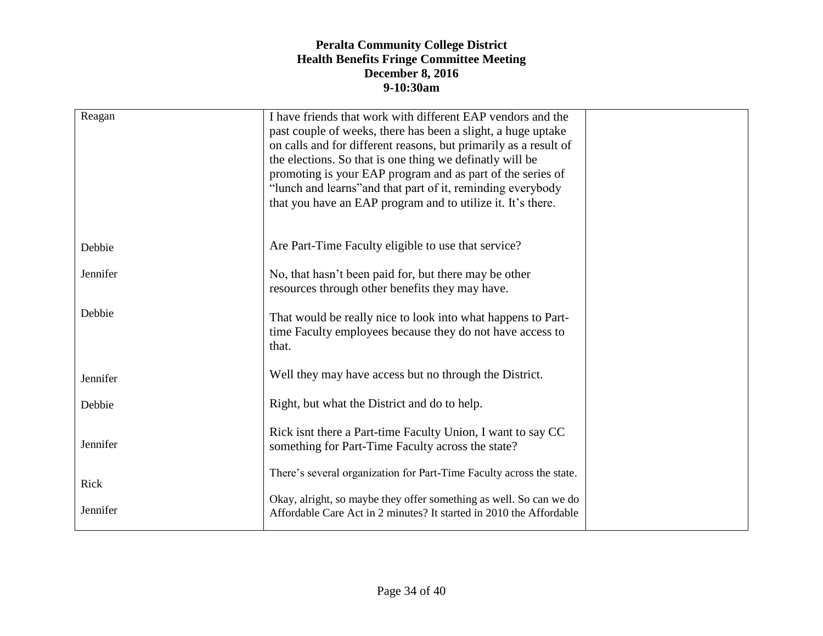| Reagan   | I have friends that work with different EAP vendors and the<br>past couple of weeks, there has been a slight, a huge uptake<br>on calls and for different reasons, but primarily as a result of<br>the elections. So that is one thing we definatly will be<br>promoting is your EAP program and as part of the series of<br>"lunch and learns" and that part of it, reminding everybody<br>that you have an EAP program and to utilize it. It's there. |  |
|----------|---------------------------------------------------------------------------------------------------------------------------------------------------------------------------------------------------------------------------------------------------------------------------------------------------------------------------------------------------------------------------------------------------------------------------------------------------------|--|
| Debbie   | Are Part-Time Faculty eligible to use that service?                                                                                                                                                                                                                                                                                                                                                                                                     |  |
| Jennifer | No, that hasn't been paid for, but there may be other<br>resources through other benefits they may have.                                                                                                                                                                                                                                                                                                                                                |  |
| Debbie   | That would be really nice to look into what happens to Part-<br>time Faculty employees because they do not have access to<br>that.                                                                                                                                                                                                                                                                                                                      |  |
| Jennifer | Well they may have access but no through the District.                                                                                                                                                                                                                                                                                                                                                                                                  |  |
| Debbie   | Right, but what the District and do to help.                                                                                                                                                                                                                                                                                                                                                                                                            |  |
| Jennifer | Rick isnt there a Part-time Faculty Union, I want to say CC<br>something for Part-Time Faculty across the state?                                                                                                                                                                                                                                                                                                                                        |  |
| Rick     | There's several organization for Part-Time Faculty across the state.                                                                                                                                                                                                                                                                                                                                                                                    |  |
| Jennifer | Okay, alright, so maybe they offer something as well. So can we do<br>Affordable Care Act in 2 minutes? It started in 2010 the Affordable                                                                                                                                                                                                                                                                                                               |  |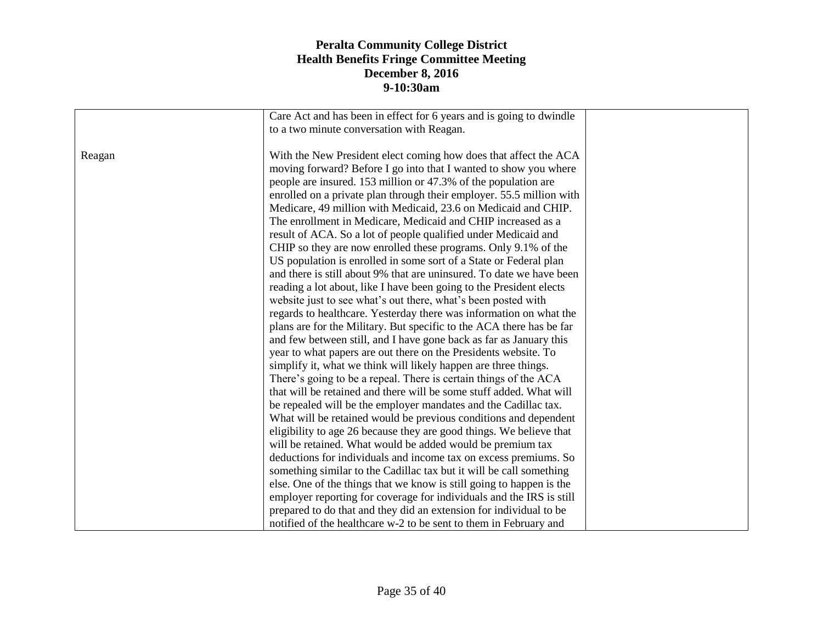|        | Care Act and has been in effect for 6 years and is going to dwindle  |  |
|--------|----------------------------------------------------------------------|--|
|        | to a two minute conversation with Reagan.                            |  |
|        |                                                                      |  |
| Reagan | With the New President elect coming how does that affect the ACA     |  |
|        | moving forward? Before I go into that I wanted to show you where     |  |
|        | people are insured. 153 million or 47.3% of the population are       |  |
|        | enrolled on a private plan through their employer. 55.5 million with |  |
|        | Medicare, 49 million with Medicaid, 23.6 on Medicaid and CHIP.       |  |
|        | The enrollment in Medicare, Medicaid and CHIP increased as a         |  |
|        | result of ACA. So a lot of people qualified under Medicaid and       |  |
|        | CHIP so they are now enrolled these programs. Only 9.1% of the       |  |
|        | US population is enrolled in some sort of a State or Federal plan    |  |
|        | and there is still about 9% that are uninsured. To date we have been |  |
|        | reading a lot about, like I have been going to the President elects  |  |
|        | website just to see what's out there, what's been posted with        |  |
|        | regards to healthcare. Yesterday there was information on what the   |  |
|        | plans are for the Military. But specific to the ACA there has be far |  |
|        | and few between still, and I have gone back as far as January this   |  |
|        | year to what papers are out there on the Presidents website. To      |  |
|        | simplify it, what we think will likely happen are three things.      |  |
|        |                                                                      |  |
|        | There's going to be a repeal. There is certain things of the ACA     |  |
|        | that will be retained and there will be some stuff added. What will  |  |
|        | be repealed will be the employer mandates and the Cadillac tax.      |  |
|        | What will be retained would be previous conditions and dependent     |  |
|        | eligibility to age 26 because they are good things. We believe that  |  |
|        | will be retained. What would be added would be premium tax           |  |
|        | deductions for individuals and income tax on excess premiums. So     |  |
|        | something similar to the Cadillac tax but it will be call something  |  |
|        | else. One of the things that we know is still going to happen is the |  |
|        | employer reporting for coverage for individuals and the IRS is still |  |
|        | prepared to do that and they did an extension for individual to be   |  |
|        | notified of the healthcare w-2 to be sent to them in February and    |  |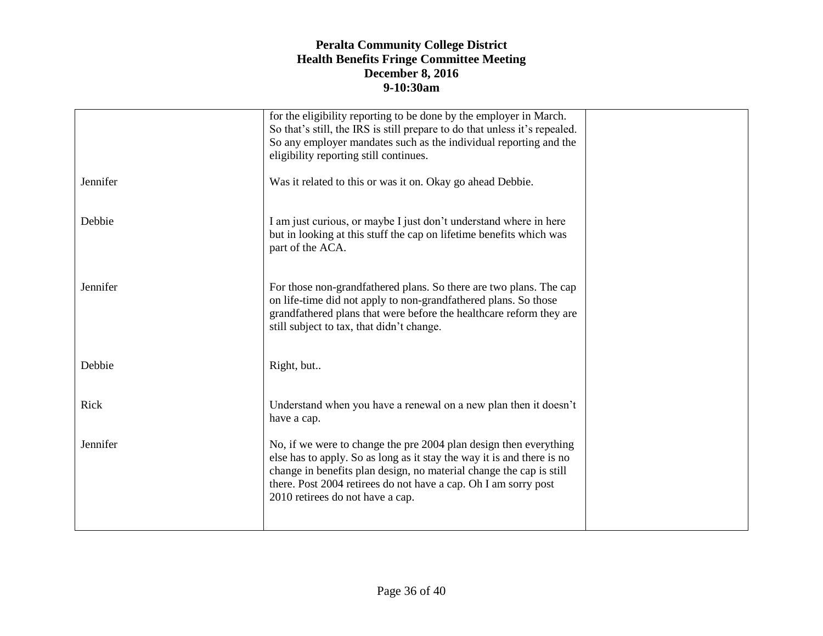|          | for the eligibility reporting to be done by the employer in March.<br>So that's still, the IRS is still prepare to do that unless it's repealed.<br>So any employer mandates such as the individual reporting and the<br>eligibility reporting still continues.                                                           |  |
|----------|---------------------------------------------------------------------------------------------------------------------------------------------------------------------------------------------------------------------------------------------------------------------------------------------------------------------------|--|
| Jennifer | Was it related to this or was it on. Okay go ahead Debbie.                                                                                                                                                                                                                                                                |  |
| Debbie   | I am just curious, or maybe I just don't understand where in here<br>but in looking at this stuff the cap on lifetime benefits which was<br>part of the ACA.                                                                                                                                                              |  |
| Jennifer | For those non-grandfathered plans. So there are two plans. The cap<br>on life-time did not apply to non-grandfathered plans. So those<br>grandfathered plans that were before the healthcare reform they are<br>still subject to tax, that didn't change.                                                                 |  |
| Debbie   | Right, but                                                                                                                                                                                                                                                                                                                |  |
| Rick     | Understand when you have a renewal on a new plan then it doesn't<br>have a cap.                                                                                                                                                                                                                                           |  |
| Jennifer | No, if we were to change the pre 2004 plan design then everything<br>else has to apply. So as long as it stay the way it is and there is no<br>change in benefits plan design, no material change the cap is still<br>there. Post 2004 retirees do not have a cap. Oh I am sorry post<br>2010 retirees do not have a cap. |  |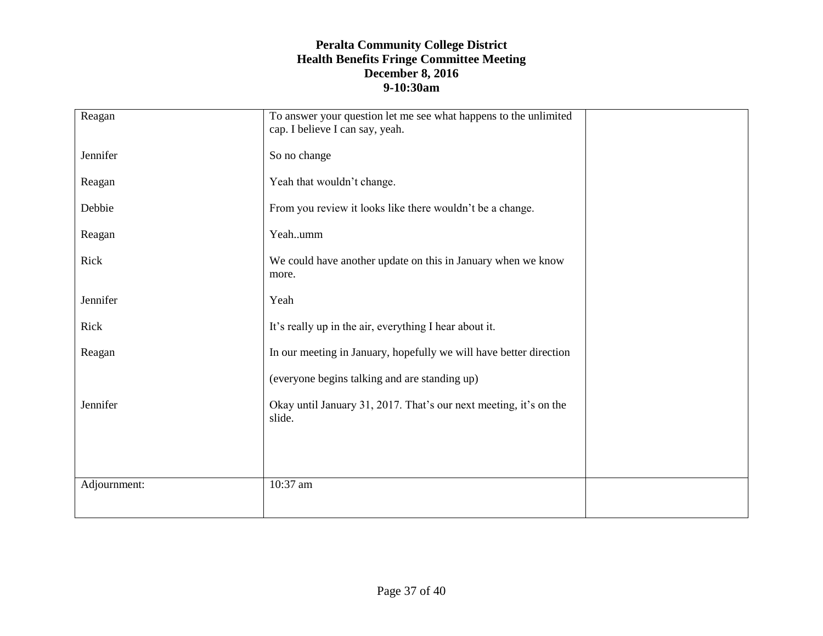| Reagan       | To answer your question let me see what happens to the unlimited<br>cap. I believe I can say, yeah. |  |
|--------------|-----------------------------------------------------------------------------------------------------|--|
| Jennifer     | So no change                                                                                        |  |
| Reagan       | Yeah that wouldn't change.                                                                          |  |
| Debbie       | From you review it looks like there wouldn't be a change.                                           |  |
| Reagan       | Yeahumm                                                                                             |  |
| Rick         | We could have another update on this in January when we know<br>more.                               |  |
| Jennifer     | Yeah                                                                                                |  |
| Rick         | It's really up in the air, everything I hear about it.                                              |  |
| Reagan       | In our meeting in January, hopefully we will have better direction                                  |  |
|              | (everyone begins talking and are standing up)                                                       |  |
| Jennifer     | Okay until January 31, 2017. That's our next meeting, it's on the<br>slide.                         |  |
|              |                                                                                                     |  |
| Adjournment: | 10:37 am                                                                                            |  |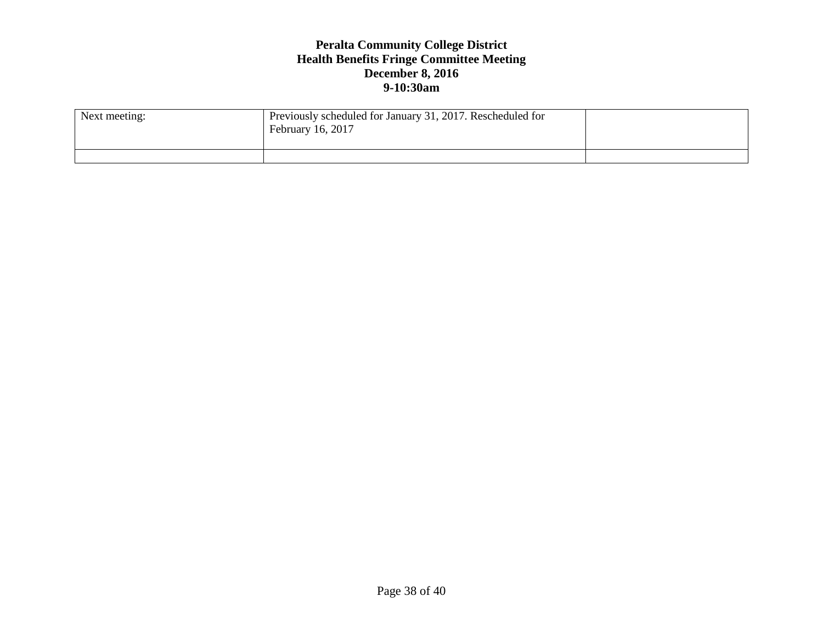| Next meeting: | Previously scheduled for January 31, 2017. Rescheduled for<br>February 16, 2017 |  |
|---------------|---------------------------------------------------------------------------------|--|
|               |                                                                                 |  |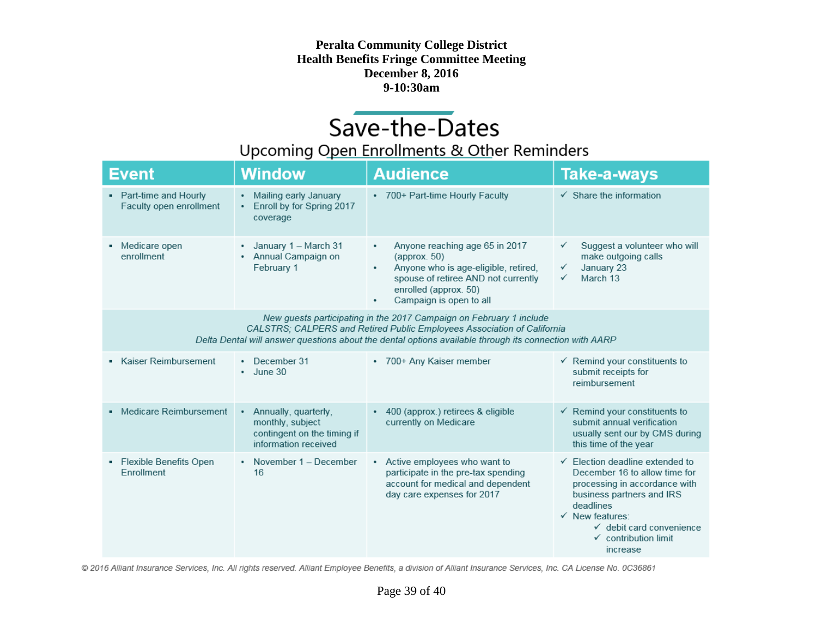# Save-the-Dates

### Upcoming Open Enrollments & Other Reminders

| Event                                                                                                                                                                                                                                                    | <b>Window</b>                                                                                        | <b>Audience</b>                                                                                                                                                                                         | <b>Take-a-ways</b>                                                                                                                                                                                                                                                         |  |
|----------------------------------------------------------------------------------------------------------------------------------------------------------------------------------------------------------------------------------------------------------|------------------------------------------------------------------------------------------------------|---------------------------------------------------------------------------------------------------------------------------------------------------------------------------------------------------------|----------------------------------------------------------------------------------------------------------------------------------------------------------------------------------------------------------------------------------------------------------------------------|--|
| • Part-time and Hourly<br>Faculty open enrollment                                                                                                                                                                                                        | Mailing early January<br>٠<br>Enroll by for Spring 2017<br>٠<br>coverage                             | * 700+ Part-time Hourly Faculty                                                                                                                                                                         | $\checkmark$ Share the information                                                                                                                                                                                                                                         |  |
| Medicare open<br>enrollment                                                                                                                                                                                                                              | January 1 - March 31<br>٠<br>• Annual Campaign on<br>February 1                                      | Anyone reaching age 65 in 2017<br>٠<br>${\rm (approx.50)}$<br>Anyone who is age-eligible, retired,<br>٠<br>spouse of retiree AND not currently<br>enrolled (approx. 50)<br>Campaign is open to all<br>٠ | Suggest a volunteer who will<br>make outgoing calls<br>January 23<br>✓<br>March 13<br>✓                                                                                                                                                                                    |  |
| New guests participating in the 2017 Campaign on February 1 include<br>CALSTRS; CALPERS and Retired Public Employees Association of California<br>Delta Dental will answer questions about the dental options available through its connection with AARP |                                                                                                      |                                                                                                                                                                                                         |                                                                                                                                                                                                                                                                            |  |
| Kaiser Reimbursement                                                                                                                                                                                                                                     | December 31<br>٠<br>June 30<br>٠                                                                     | • 700+ Any Kaiser member                                                                                                                                                                                | $\checkmark$ Remind your constituents to<br>submit receipts for<br>reimbursement                                                                                                                                                                                           |  |
| • Medicare Reimbursement                                                                                                                                                                                                                                 | Annually, quarterly,<br>٠<br>monthly, subject<br>contingent on the timing if<br>information received | • 400 (approx.) retirees & eligible<br>currently on Medicare                                                                                                                                            | $\checkmark$ Remind your constituents to<br>submit annual verification<br>usually sent our by CMS during<br>this time of the year                                                                                                                                          |  |
| Flexible Benefits Open<br>٠<br>Enrollment                                                                                                                                                                                                                | • November 1 - December<br>16                                                                        | • Active employees who want to<br>participate in the pre-tax spending<br>account for medical and dependent<br>day care expenses for 2017                                                                | $\checkmark$ Election deadline extended to<br>December 16 to allow time for<br>processing in accordance with<br>business partners and IRS<br>deadlines<br>$\checkmark$ New features:<br>$\checkmark$ debit card convenience<br>$\checkmark$ contribution limit<br>increase |  |

© 2016 Alliant Insurance Services, Inc. All rights reserved. Alliant Employee Benefits, a division of Alliant Insurance Services, Inc. CA License No. 0C36861